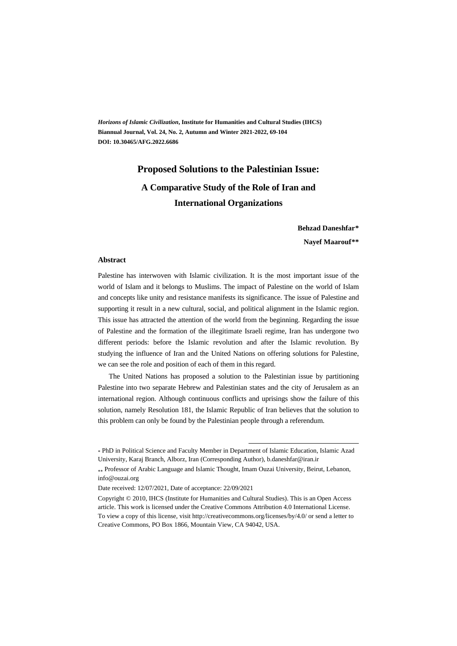*Horizons of Islamic Civilization***, Institute for Humanities and Cultural Studies (IHCS) Biannual Journal, Vol. 24, No. 2, Autumn and Winter 2021-2022, 69-104 DOI: 10.30465/AFG.2022.6686** 

## **Proposed Solutions to the Palestinian Issue: A Comparative Study of the Role of Iran and International Organizations**

**Behzad Daneshfar\*\***

**Nayef Maarouf\*\*†**

#### **Abstract**

Palestine has interwoven with Islamic civilization. It is the most important issue of the world of Islam and it belongs to Muslims. The impact of Palestine on the world of Islam and concepts like unity and resistance manifests its significance. The issue of Palestine and supporting it result in a new cultural, social, and political alignment in the Islamic region. This issue has attracted the attention of the world from the beginning. Regarding the issue of Palestine and the formation of the illegitimate Israeli regime, Iran has undergone two different periods: before the Islamic revolution and after the Islamic revolution. By studying the influence of Iran and the United Nations on offering solutions for Palestine, we can see the role and position of each of them in this regard.

The United Nations has proposed a solution to the Palestinian issue by partitioning Palestine into two separate Hebrew and Palestinian states and the city of Jerusalem as an international region. Although continuous conflicts and uprisings show the failure of this solution, namely Resolution 181, the Islamic Republic of Iran believes that the solution to this problem can only be found by the Palestinian people through a referendum.

.

<sup>\*</sup> PhD in Political Science and Faculty Member in Department of Islamic Education, Islamic Azad University, Karaj Branch, Alborz, Iran (Corresponding Author), b.daneshfar@iran.ir

Professor of Arabic Language and Islamic Thought, Imam Ouzai University, Beirut, Lebanon, info@ouzai.org

Date received: 12/07/2021, Date of acceptance: 22/09/2021

Copyright © 2010, IHCS (Institute for Humanities and Cultural Studies). This is an Open Access article. This work is licensed under the Creative Commons Attribution 4.0 International License. To view a copy of this license, visit http://creativecommons.org/licenses/by/4.0/ or send a letter to Creative Commons, PO Box 1866, Mountain View, CA 94042, USA.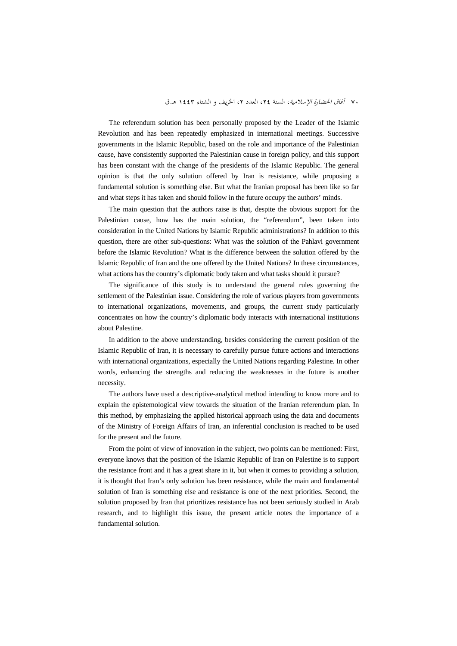The referendum solution has been personally proposed by the Leader of the Islamic Revolution and has been repeatedly emphasized in international meetings. Successive governments in the Islamic Republic, based on the role and importance of the Palestinian cause, have consistently supported the Palestinian cause in foreign policy, and this support has been constant with the change of the presidents of the Islamic Republic. The general opinion is that the only solution offered by Iran is resistance, while proposing a fundamental solution is something else. But what the Iranian proposal has been like so far and what steps it has taken and should follow in the future occupy the authors' minds.

The main question that the authors raise is that, despite the obvious support for the Palestinian cause, how has the main solution, the "referendum", been taken into consideration in the United Nations by Islamic Republic administrations? In addition to this question, there are other sub-questions: What was the solution of the Pahlavi government before the Islamic Revolution? What is the difference between the solution offered by the Islamic Republic of Iran and the one offered by the United Nations? In these circumstances, what actions has the country's diplomatic body taken and what tasks should it pursue?

The significance of this study is to understand the general rules governing the settlement of the Palestinian issue. Considering the role of various players from governments to international organizations, movements, and groups, the current study particularly concentrates on how the country's diplomatic body interacts with international institutions about Palestine.

In addition to the above understanding, besides considering the current position of the Islamic Republic of Iran, it is necessary to carefully pursue future actions and interactions with international organizations, especially the United Nations regarding Palestine. In other words, enhancing the strengths and reducing the weaknesses in the future is another necessity.

The authors have used a descriptive-analytical method intending to know more and to explain the epistemological view towards the situation of the Iranian referendum plan. In this method, by emphasizing the applied historical approach using the data and documents of the Ministry of Foreign Affairs of Iran, an inferential conclusion is reached to be used for the present and the future.

From the point of view of innovation in the subject, two points can be mentioned: First, everyone knows that the position of the Islamic Republic of Iran on Palestine is to support the resistance front and it has a great share in it, but when it comes to providing a solution, it is thought that Iran's only solution has been resistance, while the main and fundamental solution of Iran is something else and resistance is one of the next priorities. Second, the solution proposed by Iran that prioritizes resistance has not been seriously studied in Arab research, and to highlight this issue, the present article notes the importance of a fundamental solution.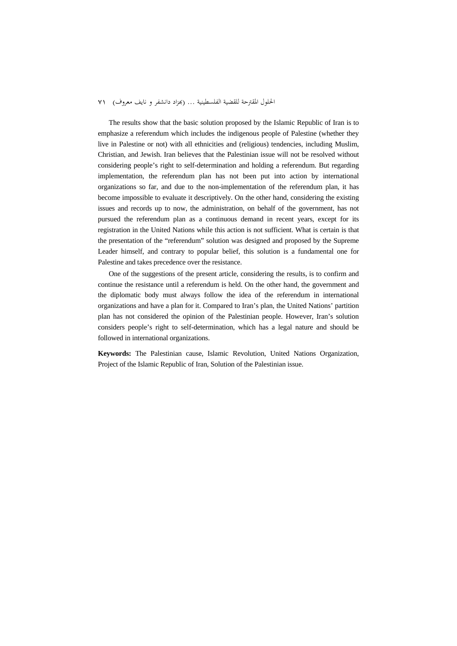The results show that the basic solution proposed by the Islamic Republic of Iran is to emphasize a referendum which includes the indigenous people of Palestine (whether they live in Palestine or not) with all ethnicities and (religious) tendencies, including Muslim, Christian, and Jewish. Iran believes that the Palestinian issue will not be resolved without considering people's right to self-determination and holding a referendum. But regarding implementation, the referendum plan has not been put into action by international organizations so far, and due to the non-implementation of the referendum plan, it has become impossible to evaluate it descriptively. On the other hand, considering the existing issues and records up to now, the administration, on behalf of the government, has not pursued the referendum plan as a continuous demand in recent years, except for its registration in the United Nations while this action is not sufficient. What is certain is that the presentation of the "referendum" solution was designed and proposed by the Supreme Leader himself, and contrary to popular belief, this solution is a fundamental one for Palestine and takes precedence over the resistance.

One of the suggestions of the present article, considering the results, is to confirm and continue the resistance until a referendum is held. On the other hand, the government and the diplomatic body must always follow the idea of the referendum in international organizations and have a plan for it. Compared to Iran's plan, the United Nations' partition plan has not considered the opinion of the Palestinian people. However, Iran's solution considers people's right to self-determination, which has a legal nature and should be followed in international organizations.

**Keywords:** The Palestinian cause, Islamic Revolution, United Nations Organization, Project of the Islamic Republic of Iran, Solution of the Palestinian issue.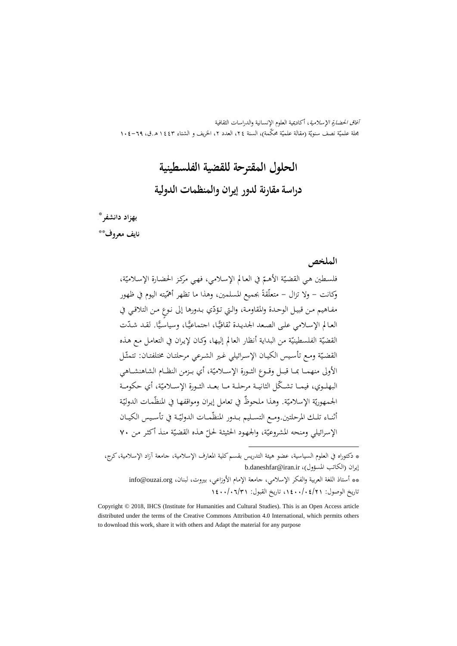آفاق الحضارة الإسلامية، أكاديمية العلوم الإنسانية والدراسات الثقافية بحلة علميّة نصف سنويّة (مقالة علميّة محکمة)، السنة ٢٤، العدد ٢، الخريف و الشتاء ١٤٤٣ هـ.ق، ٦٩–١٠٤

## **الحلول المقترحة للقضية الفلسطينية**

## **دراسة مقارنة لدور إيران والمنظمات الدولية**

### ‡ \* **بهزاد دانشفر**

\*\* **نايف معروف**

### **الملخص**

ّة، ّ في العـالم الإسـلامي، فهـي مرکـز الحضـارة الإسـلامي ة الأهـم ّ فلسـطين هـي القضـي ّ وكانت - ولا تزال - يته اليوم في ظهور ً بجميع المسلمين، وهذا ما تظهر أهم متعلّقة ّي بـدورها إلى ٍ نـوع مـن التلاقـي في مفـاهيم مـن قبيـل الوحـدة والمقاومـة، والـتي تـؤد ًّا. لقـد ّشـدت ًّـا، وسياسـي ًّـا، اجتماعي العـالم الإسـلامي علـى الصـعد الجديـدة ثقافي ة من البداية أنظار العالم ّ ة الفلسطيني القضي إليها، وكـان لإيـران في التعامـل مـع هـذه ّ ّـل ة ومـع تأسـيس الكيـان الإسـرائيلي غـير الشـرعي مرحلتـان مختلفتـان: تتمث ّ القضـي ّة، أي بــزمن النظــام الشاهنشــاهي الأولى منهمــا بمــا قبــل وقــوع الثــورة الإســلامي ّة، أي حكومـــة البهلـــوي، فيمـــا ّ تشـــكل الثانيـــة مرحلـــة مـــا بعـــد الثـــورة الإســـلامي ّ الجمهو ـة ّمـات الدولي ة. وهذا ٌ ملحوظ في تعامل إيـران ومواقفهـا في المنظ ّ ة الإسلامي ّ ري ّــة في تأســيس الكيــان ّمــات الدولي أثنــاء تلــك المرحلتين.ومــع التســليم بــدور المنظ ة منـذ أكثـر مـن ّ ّ هـذه القضـي الإسرائيلي ومنحه المشروعي 70 ّة، والجهـود الحثيثـة لحـل

\* دكتوراه في العلوم السياسية، عضو هيئة التدريس بقسمکلية المعارف الإسلامية، جامعة آزاد الإسلامية،کرج، b.daneshfar@iran.ir ،(المسؤول الكاتب (إيران \*\* أستاذ اللغة العربية والفكر الإسلامي، جامعة الإمام الأوزاعي، بيروت، لبنان، info@ouzai.org تاريخ الوصول: ،1400/04/21 تاريخ القبول: 1400/06/31

.

Copyright © 2018, IHCS (Institute for Humanities and Cultural Studies). This is an Open Access article distributed under the terms of the Creative Commons Attribution 4.0 International, which permits others to download this work, share it with others and Adapt the material for any purpose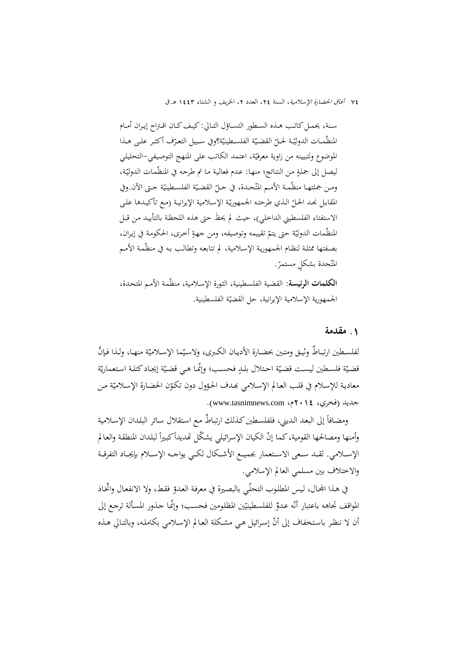سـنة، يحمـل كاتـب هـذه السـطور التسـاؤل التـالي: كيـف كـان اقـتراح إيـران أمـام المنظّمـات الدوليّـة لحـلّ القضـيّة الفلسـطينيّة؟وفي سـبيل التعـرّف أكثـر علـى هـذا<br>. الموضوع ولتبيينه من زاوية معرفيّة، اعتمد الكاتب على المنهج التوصيفي–التحليلي ليصل إلى جملةٍ من النتائج؛ منهـا: عـدم فعالية مـا تم طرحـه في المنظّمـات الدوليّة، ومـن جملتهــا منظّمــة الأمــم المتّحـدة، في حــلّ القضـيّة الفلســطينيّة حـتى الآن.وفي<br>-المقابل نجـد الحـلّ الـذي طرحتـه الجممهوريّة الإسلامية الإيرانيـة (مـع تأكيـدها علـى<br>. الاستفتاء الفلسطيني الداخلي)، حيث لم َيحظ حتى هذه اللحظـة بالتأييـد مـن قبـل المنظّمات الدوليّة حتى يتمّ تقييمه وتوصيفه، ومن جهةٍ أخرى، الحكومة في إيران،<br>. بصفتها ممثلة لنظـام الجمهورية الإسـلامية، لم تتابعـه وتطالـب بـه في منظّمـة الأمـم المتّحدة بشكلٍ مستمرّ.<br>ـ **الكلمات الرئيسة**: القضية الفلسطينية، الثورة الإسلامية، منظّمة الأمم المتحدة، الجمهورية الإسلامية الإيرانية، حل القضيّة الفلسطينية.

### **.**1 **مقدمة**

لفلسـطين ارتبـاطٌ وثيـق ومتـين بحضـارة الأديـان الكـبرى، ولاسـيّما الإسـلاميّة منهـا، ولـذا فـإنَّ قضيّة فلسـطين ليسـت قضـيّة احـتلال بلـدٍ فحسـب؛ وإنّمـا هـي قضـيّة إيجـاد كتلـة اسـتعماريّة معادية للإسلام في قلب العالم الإسلامي بمدف الحؤول دون تكوّن الحضارة الإسلاميّة من جديد (فخري، 2014م، com.tasnimnews.www(.

ومضـافاً إلى البعـد الـديني، فلفلسـطين كـذلك ارتبـاطُ مـع استقلال سـائر البلـدان الإسـلامية وأمنها ومصالحها القومية، كما إنّ الكيان الإسرائيلي يشكّل تّديداً كبيراً لبلدان المنطقة والعالم الإســـلامي. لقـــد ســـعى الاســـتعمار بجميـــع الأشـــكال لكـــي يواجـــه الإســـلام بإيجـــاد التفرقـــة والاختلاف بين مسلمي العالم الإسلامي.

في هـذا المحـال، ليس المطلوب التحلّـي بالبصيرة في معرفـة العـدوّ فقـطـ، ولا الانفعـال واتخـاذ المواقف تجاهه باعتبار أنّه عدوٌ للفلسطينيّين المظلومين فحسب؛ وإنّمـا جذور المسألة ترجع إلى أن لا ننظر باستخفاف إلى أنّ إسرائيل هي مشكلة العـالم الإسـلامي بكاملـه، وبالتـالي هـذه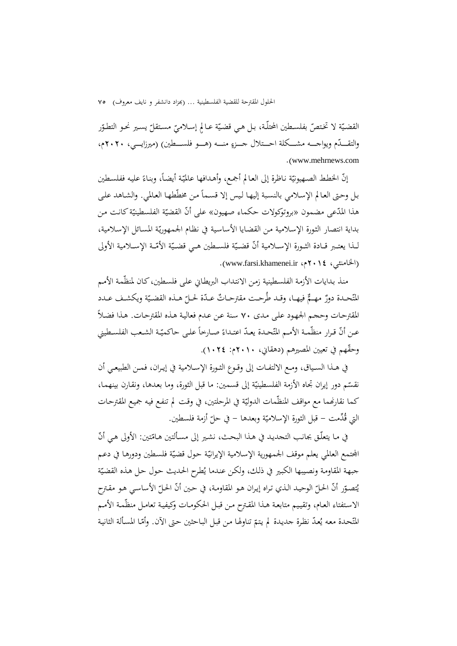القضـيّة لا تخـتصّ بفلسـطين المحتلّـة، بـل هـي قضـيّة عـالمِ إسـلاميّ مسـتقلّ يسـير نحـو التطـوّر<br>. والتقــــدّم ويواجــــه مشـــكلة احـــتلال جـــزءٍ منــــه (هـــو فلســـطين) (ميرزايــــي، ٢٠٢٠م، .(www.mehrnews.com

إنّ الخطط الصهيونيّة ناظرة إلى العالم أجمع، وأهدافها عالميّة أيضاً، وبناءً عليه ففلسطين<br>. بل وحتى العالم الإسلامي بالنسبة إليها ليس إلا قسماً من مخطّطها العالمي. والشاهد على هذا المدّعى مضمون «بروتوكولات حكماء صهيون» على أنّ القضيّة الفلسطينيّة كانت من بداية انتصار الثورة الإسلامية من القضايا الأساسية في نظام الجمهوريّة المسائل الإسلامية، لــذا يعتــبر قــادة الثــورة الإســـلامية أنّ قضــيّة فلســطين هــي قضــيّة الأمّــة الإســلامية الأولى .(www.farsi.khamenei.ir ،م2014 ).

منذ بـدايات الأزمة الفلسـطينية زمـن الانتـداب البريطـاني عـلى فلسـطين،كـان لمنظّمة الأمـم المتّحـدة دورٌ مهـمٌّ فيهـا، وقـد طُرحـت مقترحـاتٌ عـدّة لحـلّ هـذه القضـيّة ويكشـف عـدد المقترحات وحجم الجهود على مدى ٧٠ سنة عن عدم فعالية هذه المقترحات. هذا فضلاً عـن أنّ قـرار منظّمـة الأمـم المتّحـدة يعـدّ اعتـداءً صـارخاً علـى حاكميّـة الشـعب الفلسـطيني وحقَّهم في تعيين المصيرهم (دهقاني، ٢٠١٠م: ٢٤.١).

في هــذا الســياق، ومــع الالتفــات إلى وقــوع الثــورة الإســلامية في إيــران، فمــن الطبيعــي أن نقستم دور إيران تجاه الأزمة الفلسطينيّة إلى قسمين: ما قبل الثورة، وما بعدها، ونقارن بينهما،<br>. كما نقارنهما مع مواقف المنظّمات الدوليّة في المرحلتين، في وقت لم تنفع فيه جميع المقترحات التي قُدِّمت – قبل الثورة الإسلاميّة وبعدها – في حلّ أزمة فلسطين.<br>ّ

في مـا يتعلّـق بجانب التحديد في هـذا البحث، نشـير إلى مسـألتين هـامّتين: الأولى هـي أنّ الجتمع العالمي يعلم موقف الجمهورية الإسلامية الإيرانيّة حول قضيّة فلسطين ودورها في دعم جبهة المقاومة ونصيبها الكبير في ذلك، ولكن عندما يُطرح الحديث حول حل هذه القضيّة ّ الوحيـد الـذي تـراه إيـران هـو المقاومـة، في أن الحـل ر ّ ّ ّ ي الأساسـي هـو مقـترح ُتصـو أن الحـل حـين ّ الاستفتاء العـام، وتقييم متابعـة هـذا المقـترح مـن قبـل الحكومـات وكيفيـة تعامـل منظّمـة الأمـم المُتّحـدة معه يُعدّ نظرة جديدة لم يتمّ تناولها من قبل الباحثين حتى الآن. وأمّـا المسألة الثانية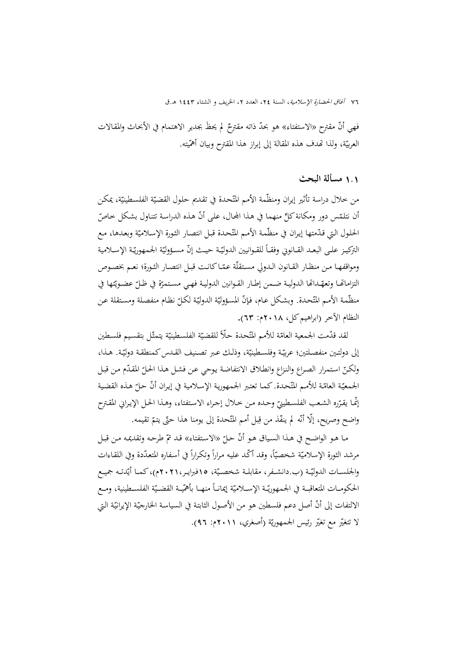فهي أنّ مقترح «الاستفتاء» هو بحدّ ذاته مقترحٌ لم يحظُ بجدير الاهتمام في الأبحاث والمقالات<br>-العربيّة، ولذا تُحدف هذه المقالة إلى إبراز هذا المقترح وبيان أهمّيته.<br>.

### 1**.**1 **مسألة البحث**

من خلال دراسة تأثير إيران ومنظّمة الأمم المتّحدة في تقديم حلول القضيّة الفلسطينيّة، يمكن أن نتلمّس دور ومكانة كلِّ منهما في هذا المجال، على أنّ هذه الدراسة تتناول بشكل خاصّ الحلول التي قـدّمتها إيـران في منظّمة الأمـم المتّحـدة قبـل انتصـار الثـورة الإسـلاميّة وبعـدهـا، مـع التركيـز علـى البعـد القــانوني وفقــاً للقــوانيين الدوليّـة حيــث إنّ مســؤوليّة الجـمهوريّـة الإسـلامية ومواقفهـا مـن منظـار القـانون الـدولي مسـتقلّة عمّـاكانـت قبـل انتصـار الثـورة؛ نعـم بخصـوص التزاماتها وتعهّداها الدوليـة ضـمن إطـار القـوانين الدوليـة فهـي مسـتمرّة في ظـلّ عضـويّتها في منظّمة الأمم المتّحدة. وبشكل عـام، فإنّ المسؤوليّة الدوليّة لكـلّ نظـام منفصلة ومستقلة عـن النظام الآخر (ابراهيمكل، ٢٠١٨م: ٦٣).

لقد قدّمت الجمعية العامّة للأمم المتّحدة حلّاً للقضيّة الفلسطينيّة يتمثّل بتقسيم فلسطين إلى دولتين منفصلتين؛ عربيّـة وفلسطينيّة، وذلك عبر تصنيف القدس كمنطقـة دوليّـة. هـذا، ولكنّ استمرار الصراع والنزاع وانطلاق الانتفاضة يوحي عن فشل هذا الحلّ المقدّم من قبل الجمعيّة العامّة للأمم المتّحدة. كما تعتبر الجمهورية الإسلامية في إيران أنّ حلّ هذه القضية<br>. إنّمـا يقرّره الشعب الفلسـطينيّ وحـده مـن خـلال إجـراء الاسـتفتاء، وهـذا الحـل الإيـراني المقـترح<br>-واضح وصريح، إلّا أنّه لم ينفّذ من قِبل أمم المتّحدة إلى يومنا هذا حتّى يتمّ تقيمه.

ما هـو الواضـح في هـذا السـياق هـو أنّ حـلّ «الاستفتاء» قـد تمّ طرحـه وتقديمه مـن قبـل<br>. مرشد الثورة الإسلاميّة شخصيّاً، وقد أكّد عليه مراراً وتكراراً في أسفاره المتعدّدة وفي اللقـاءات<br>. والجلســات الدوليّــة (ب.دانشــفر، مقابلــة شخصــيّة، ١٥فبرايـر،٢٠٢١م)،كمــا أيّدتـه جميـع الحكومــات المتعاقبــة في الجـمهوريّــة الإســلاميّة إيمانــاً منهــا بأهمّيــة القضــيّة الفلســطينية، ومــع الالتفات إلى أنّ أصل دعم فلسطين هو من الأصول الثابتة في السياسة الخارجيّة الإيرانيّة التي لا تتغيّر مع تغيّر رئيس الجمهوريّة (أصغري، ٢٠١١م: ٩٦).<br>.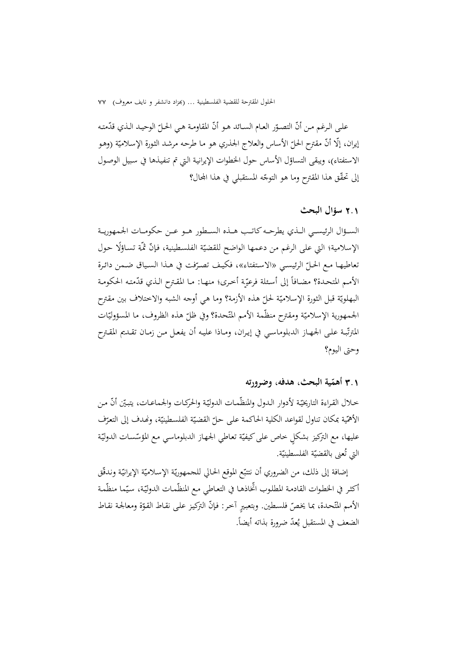علـى الـرغم مـن أنّ التصـوّر العـام السـائد هـو أنّ المقاومـة هـي الحـلّ الوحيـد الـذي قدّمتـه<br>-إيران، إلّا أنّ مقترح الحلّ الأساس والعلاج الجنـري هو مـا طرحه مرشد الثورة الإسـلاميّة (وهـو<br>. الاستفتاء)، ويبقى التساؤل الأساس حول الخطوات الإيرانيـة الـتي تم تنفيـذها في سـبيل الوصـول إلى تحقّق هذا المقترح وما هو التوجّه المستقبلي في هذا المجال؟

### 2**.**1 **سؤال البحث**

الســؤال الرئيســي الــذي يطرحــه كاتــب هــذه الســطور هــو عــن حكومــات الجمهوريــة الإسلامية؛ التي على الرغم من دعمها الواضح للقضيّة الفلسطينية، فإنّ ثمَّة تساؤلًا حول تعاطيهـا مـع الحـلّ الرئيسـي «الاستفتاء»، فكيـف تصرّفت في هـذا السـياق ضـمن دائـرة<br>. الأمـم المتحـدة؟ مضـافاً إلى أسـئلة فرعيّة أخـرى؛ منهـا: مـا المقـترح الـذي قدّمتـه الحكومـة البهلويّة قبل الثورة الإسلاميّة لحلّ هذه الأزمة؟ وما هي أوجه الشبه والاختلاف بين مقترح الجمهورية الإسلاميّة ومقترح منظّمة الأمم المتّحدة؟ وفي ظلّ هذه الظروف، ما المسؤوليّات المترتّبـة علـى الجـهـاز الدبلوماسـي في إيـران، ومـاذا عليـه أن يفعـل مـن زمـان تقـديم المقـترح وحتى اليوم؟

# **ّ** 3**.**1 **ية البحث، هدفه، وضرورته أهم**

خـلال القـراءة التاريخيّـة لأدوار الـدول والمنظّمـات الدوليّـة والحركـات والجماعـات، يتبيّن أنّ مـن الأهمّية بمكان تناول لقواعد الكلية الحاكمة على حلّ القضيّة الفلسطينيّة، ونُهدف إلى التعرّف<br>-عليها، مع التركيز بشكلٍ خاص على كيفيّة تعاطي الجهاز الدبلوماسي مع المؤسّسات الدوليّة التي تُعنى بالقضيّة الفلسطينيّة.<br>ّ

إضافة إلى ذلك، من الضروري أن نتتبّع الموقع الحالي للجمهوريّة الإسلاميّة الإيرانيّة وندقّق<br>. أكثر في الخطوات القادمة المطلوب اتخاذهـا في التعـاطي مـع المنظّمـات الدوليّة، سيّما منظّمـة الأمم المتّحدة، بما يخصّ فلسطين. وبتعبيرٍ آخر: فإنّ التركيز على نقـاط القوّة ومعالجة نقـاط الضعف في المستقبل يُعدّ ضرورة بذاته أيضاً.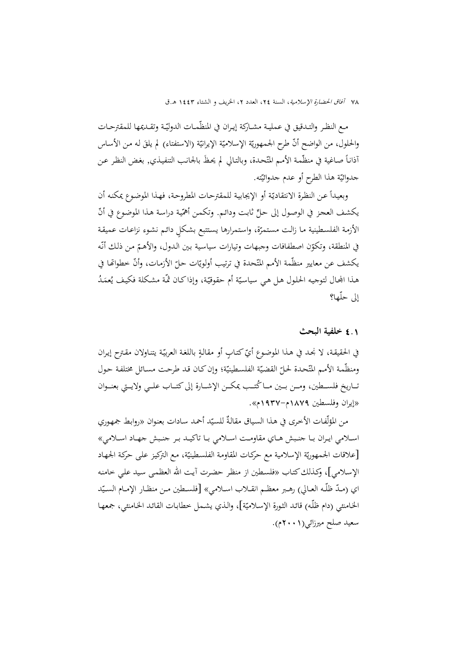مـع النظـر والتـدقيق في عمليـة مشـاركة إيـران في المنظّمـات الدوليّـة وتقـديمها للمقترحـات والحلول، من الواضح أنَّ طرح الجمهوريّة الإسلاميّة الإيرانيّة (الاستفتاء) لم يلقَ له من الأساس<br>-أذانـأ صـاغية في منظّمـة الأمـم المتّحـدة، وبالتـالي لم يحـظُ بالجـانـب التنفيـذي, بغـض النظـر عـن جدوائيّة هذا الطرح أو عدم جدوائيّته.<br>-

وبعيداً عن النظرة الانتقاديّة أو الإيجابية للمقترحات المطروحة، فهـذا الموضوع يمكنه أن يكشف العجز في الوصول إلى حلٍّ ثابت ودائـم. وتكمـن أهمّية دراسة هـذا الموضوع في أنّ الأزمـة الفلسـطينية مـا زالـت مستمرّة، واستمرارها يستتبع بشكلٍ دائـم نشـوء نزاعـات عميقة في المنطقة، وتكوّن اصطفافات وجبهات وتيارات سياسية بين الدول، والأهمّ من ذلك أنّه يكشف عن معايير منظّمة الأمم المتّحدة في ترتيب أولويّات حلّ الأزمات، وأنّ خطواتّها في هـذا المجـال لتوجيه الحلول هـل هـي سياسيّة أم حقوقيّة، وإذاكـان ثمّـة مشكلة فكيف يُعمَدُ إلى حلّها؟

### 4**.**1 **خلفية البحث**

في الحقيقة، لا نجد في هـذا الموضـوع أيّ كتـابٍ أو مقالةٍ باللغة العربيّة يتنـاولان مقترح إيران ومنظّمة الأمم المتّحدة لحلّ القضيّة الفلسطينيّة؛ وإن كـان قد طرحت مسـائل مختلفة حول<br>ـ تــاريخ فلســطين، ومــن بــين مــا كُتــب يمكــن الإشــارة إلى كتــاب علــي ولايــتي بعنــوان «إيران وفلسطين 1879م1937-م».

من المؤلّفات الأخرى في هذا السياق مقالةٌ للسيّد أحمد سادات بعنوان «روابط جمهوري اســلامي ايــران بــا جنــبش هــاي مقاومــت اســلامي بــا تاکيــد بــر جنــبش جهــاد اســلامي» [علاقات الجمهوريّة الإسلامية مع حركات المقاومة الفلسطينيّة، مع التركيز على حركة الجمهاد الإسـلامي]، وكـذلكکتـاب «فلسـطين از منظـر حضـرت آيـت االله العظمـی سـيد علـي خامنـه اي (مـدّ ظلّـه العـالي) رهـبر معظـم انقــلاب اسـلامي» [فلســطين مـن منظـار الإمــام السـيّد الخـامنئي (دام ظلّـه) قائـد الثورة الإسـلاميّة]، والـذي يشـمل خطابـات القائـد الخـامنئي، جمعهـا سعيد صلح ميرزائي(2001م).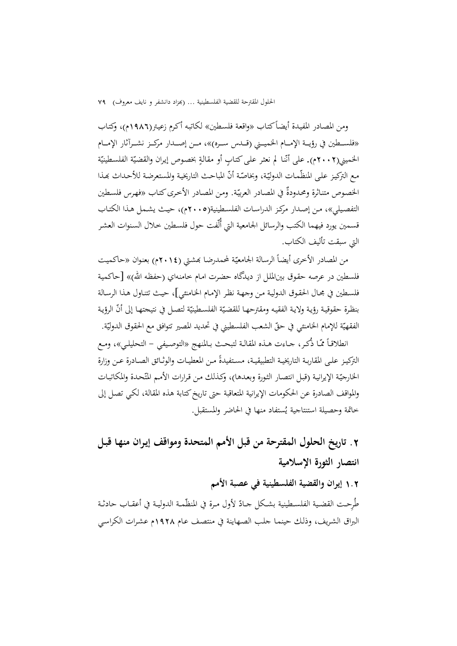ومن المصـادر المفيـدة أيضـا «واقعـة فلسـطين» لكاتبـه أكـرم زعيـتر(1986م)، وكتـاب ًكتـاب «فلســـطين في رؤيـــة الإمـــام الخميـــني (قـــدس ســـره)»، مـــن إصـــدار مرکـــز نشـــرآثار الإمـــام الخميني(٢٠٠٢م). على أنّنا لم نعثر على كتابٍ أو مقالةٍ بخصوص إيران والقضيّة الفلسطينيّة مع التركيز على المنظّمات الدوليّة، وبخاصّة أنّ المباحث التاريخية والمستعرضة للأحداث بمذا الخصوص متناثرة ومحدودةً في المصادر العربيّة. ومن المصادر الأخرى كتاب «فهرس فلسطين التفصـيلي»، مـن إصـدار مركـز الدراسـات الفلسـطينية(2005م)، حيـث يشـمل هـذا الكتـاب قسمين يورد فيهما الكتب والرسائل الجامعية التي أُلّفت حول فلسـطين خـلال السـنوات العشـر التي سبقت تأليف الكتاب.

من المصادر الأخرى أيضاً الرسالة الجامعيّة لمحمدرضا بمشتي (٢٠١٤م) بعنوان «حاكميت<br>. فلسطين در عرصه حقـوق بينالملـل از ديـدگاه حضـرت امـام خامنـهاي (حفظـه االله)» [حاكميـة فلسـطين في مجـال الحقـوق الدوليـة مـن وجهـة نظـر الإمـام الخـامنئي]، حيـث تتنـاول هـذا الرسـالة بنظرة حقوقية رؤية ولاية الفقيه ومقترحهـا للقضيّة الفلسطينيّة لتصل في نتيجتهـا إلى أنّ الرؤيـة الفقهيّة للإمام الخامنئي في حقّ الشعب الفلسطيني في تحديد المصير تتوافق مع الحقوق الدوليّة.<br>-

انطلاقـاً ممّــا ذُكـر، جــاءت هــذه المقالـة لتبحـث بــالمنهج «التوصـيفي – التحليلي»، ومـع التركيـز علـى المقاربـة التاريخيـة التطبيقيـة، مسـتفيدةً مـن المعطيــات والوثــائق الصــادرة عـن وزارة الخارجيّة الإيرانية (قبل انتصار الثورة وبعدها)، وكذلك من قرارات الأمم المتّحدة والمكاتبات والمواقف الصادرة عن الحكومات الإيرانية المتعاقبة حتى تاريخكتابة هذه المقالة، لكـي تصـل إلى خاتمة وحصيلة استنتاجية يُستفاد منها في الحاضر والمستقبل.

# **.**2 **تاريخ الحلول المقترحة من قبل الأمم المتحدة ومواقف إيـران منهـا قبـل انتصار الثورة الإسلامية**

### 1**.**2 **إيران والقضية الفلسطينية في عصبة الأمم**

طُرِحت القضية الفلسـطينية بشكل جـادّ لأول مـرة في المنظّمـة الدوليـة في أعقـاب حادثـة البراق الشـريف، وذلـك حينمـا جلـب الصـهاينة في منتصـف عـام 1928م عشـرات الكراسـي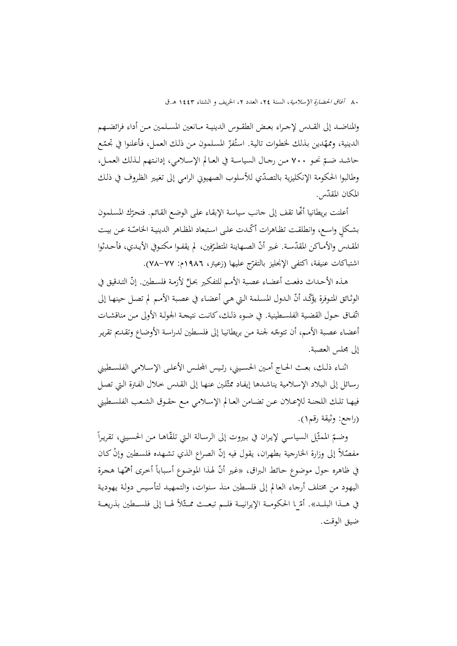والمناضــد إلى القــدس لإجــراء بعــض الطقــوس الدينيــة مــانعين المســلمين مــن أداء فرائضــهم الدينية، وممهّدين بذلك لخطوات تالية. استُفرّ المسلمون من ذلك العمل، فأعلنوا في تجمّع حاشــد ضــم 700 مــن رجــال السياســة في العــالم الإســلامي، إدانــتهم لــذلك العمــل، ّ نحــو وطالبوا الحكومة الإنكليزية بالتصدّي للأسلوب الصهيوني الرامي إلى تغيير الظروف في ذلك المكان المقدّس.<br>-

أعلنت بريطانيا أنّها تقف إلى جانب سياسة الإبقاء على الوضع القائم. فتحرّك المسلمون بشكلٍ واسع، وانطلقت تظـاهرات أكّـدت على استبعاد المظـاهر الدينيـة الخاصّـة عـن بيـت المقـدس والأمـاكن المقدّسـة. غـير أنّ الصـهاينة المتطـرّفين، لم يقفـوا مكتـوفي الأيـدي، فأحـدثوا اشتباكات عنيفة، أكتفى الإنجليز بالتفرّج عليها (زعيتر، ١٩٨٦م: ٧٧–٧٨).<br>.

هـذه الأحـداث دفعت أعضـاء عصـبة الأمـم للتفكير بحـلِّ لأزمـة فلسـطين. إنَّ التـدقيق في الوثائق المتوفرة يؤكّد أنّ الـدول المسلمة التي هي أعضـاء في عصبة الأمـم لم تصـل حينهـا إلى اتّفـاق حـول القضية الفلسـطينية. في ضـوء ذلـك،كانـت نتيجـة الجولـة الأولى مـن مناقشـات أعضـاء عصبة الأمـم، أن تتوجّـه لجنـة مـن بريطانيـا إلى فلسـطين لدراسـة الأوضـاع وتقـديم تقرير إلى مجلس العصبة.

اثنـاء ذلـك، بعـث الحـاج أمـين الحسـيني، رئـيس المجلـس الأعلـي الإســلامي الفلسـطيني رسـائل إلى الـبلاد الإسـلامية يناشـدها إيفـاد ممثّلين عنهـا إلى القـدس خـلال الفـترة الـتي تصـل فيهــا تلــك اللجنــة للإعــلان عــن تضــامن العــالم الإســلامي مــع حقــوق الشــعب الفلســطيني (راجع: وثيقة رقم1).

 $\frac{1}{2}$ وضـمّ الممثّـل السياسي لإيران في بيروت إلى الرسـالة الـتي تلقّـاهـا مـن الحسـيني، تقريراً مفصّادً إلى وزارة الخارجية بطهران، يقول فيه إنّ الصراع الذي تشهده فلسطين وإنّ كـان في ظاهره حول موضوع حـائط البراق، «غير أنّ لهذا الموضوع أسباباً أخرى أهمّها هجرة<br>\* اليهود من مختلف أرجاء العالم إلى فلسطين منذ سنوات، والتمهيـد لتأسـيس دولـة يهوديـة في هـــذا البلـــد». أمّـــا الحكومــة الإيرانيـــة فلـــم تبعــث ممــثّلاً لهــا إلى فلســطين بذريعــة<br>-ضيق الوقت.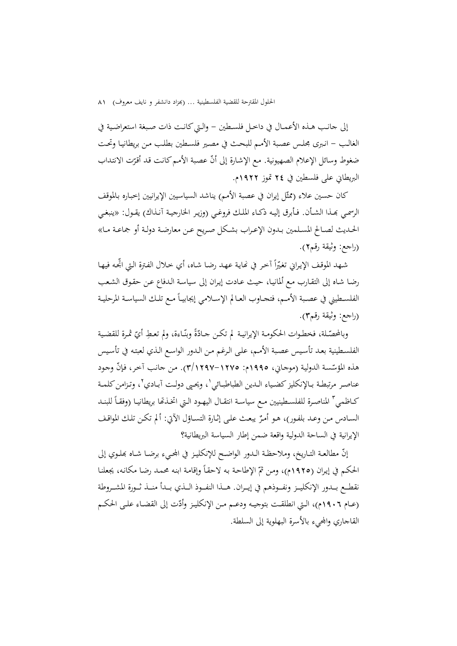إلى جانـب هـذه الأعمــال في داخـل فلسـطين – والـتي كـانـت ذات صـبغة استعراضـية في الغالـب - انـبرى مجلـس عصـبة الأمـم للبحـث في مصـير فلسـطين بطلـب مـن بريطانيـا وتحـت ضغوط وسائل الإعلام الصهيونية. مع الإشارة إلى أنّ عصبة الأمم كانت قد أقرّت الانتداب<br>. البريطاني على فلسطين في 24 تموز 1922م.

كان حسين علاء (ممثّل إيران في عصبة الأمم) يناشد السياسيين الإيرانيين إخباره بالموقف الرسمـي بِحـذا الشـأن. فـأبرق إليـه ذكـاء الملك فروغـي (وزيـر الخارجيـة آنـذاك) يقـول: «ينبغـي الحــديث لصــالح المســلمين بــدون الإعــراب بشــكل صــريح عــن معارضــة دولــة أو جماعــة مــا» (راجع: وثيقة رقم2).

شـهد الموقـف الإيـراني تغيّراً آخـر في نھايـة عـهـد رضـا شـاه، أي خـلال الفـترة الـتي اتجـه فيهـا ا رضـا شـاه إلى التقـارب مـع ألمانيـا، حيـث عـادت إيـران إلى سياسـة الـدفاع عـن حقـوق الشـعب الفلسـطيني في عصـبة الأمـم، فتجـاوب العـالم الإسـلامي إيجابيــاً مـع تلـك السياسـة المرحليـة (راجع: وثيقة رقم3).

وبالمحصّلة، فخطـوات الحكومـة الإيرانيـة لم تكـن جـادّةً وبنّـاءة، ولم تعـطِ أيّ ثمـرة للقضـية الفلسـطينية بعـد تأسـيس عصـبة الأمـم، علـى الـرغم مـن الـدور الواسـع الـذي لعبتـه في تأسـيس هذه المؤسّسة الدولية (موجـاني، ١٩٩٥م: ١٢٧٥-١٢٩٧). من جانب آخر، فإنّ وجود عناصر مرتبطـة بـالإنكليز كضـياء الـدين الطباطبـائي `، ويحـي دولـت آبــادي'`، وتـزامن كلمـة كــاظمي " المناصـرة للفلسـطينيين مـع سياسـة انتقــال اليهـود الـتي اتخـذتما بريطانيــا (وفقــاً للبنــد السـادس مـن وعـد بلفـور)، هـو أمـرٌ يبعـث علـى إثـارة التسـاؤل الآتي: ألم تكـن تلـك المواقـف الإيرانية في الساحة الدولية واقعة ضمن إطار السياسة البريطانية؟

إنّ مطالعـة التـاريخ، وملاحظـة الـدور الواضـح للإنكليـز في الجحيء برضـا شـاه بملـوي إلى الحكـم في إيـران (١٩٢٥م)، ومن ثمّ الإطاحـة بـه لاحقـاً وإقامـة ابنـه محـمـد رضـا مكانـه، يجعلنـا نقطــع بــدور الإنكليــز ونفــوذهـم في إيــران. هـــذا النفــوذ الــذي بــدأ منــذ ثــورة المشــروطة (عــام ١٩٠٦م)، الـتي انطلقــت بتوجيـه ودعــم مـن الإنكليـز وأدّت إلى القضـاء علـى الحكــم القاجاري والمجيء بالأسرة البهلوية إلى السلطة.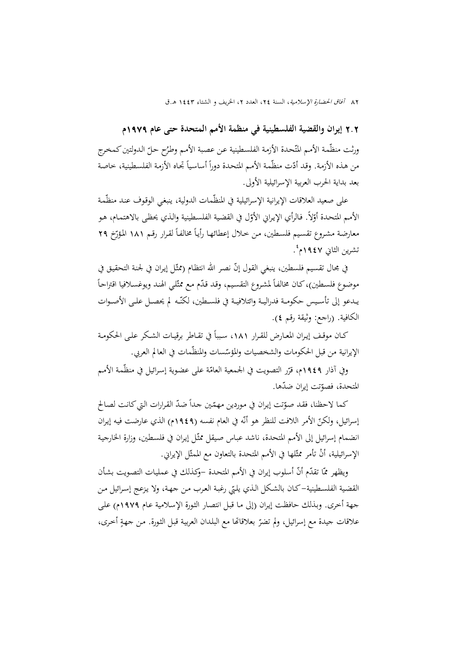2**.**2 **إيران والقضية الفلسطينية في منظمة الأمم المتحدة حتى عام** 1979**م**

ورثت منظّمة الأمم المتّحدة الأزمة الفلسطينية عن عصبة الأمم وطرُح حلّ الدولتين كمخرج<br>-من هـذه الأزمـة. وقـد أدّت منظّمة الأمـم المتحدة دوراً أساسياً تجـاه الأزمـة الفلسـطينية، خـاصـة بعد بداية الحرب العربية الإسرائيلية الأولى.

على صعيد العلاقات الإيرانية الإسرائيلية في المنظّمات الدولية، ينبغي الوقوف عند منظّمة الأمم المتحدة أوّلاً. فالرأي الإيراني الأوّل في القضية الفلسطينية والذي يحظى بالاهتمام، هو معارضة مشروع تقسيم فلسطين، من خلال إعطائهـا رأياً مخالفاً لقرار رقـم ١٨١ المؤرّخ ٢٩ نشرين الثاني ١٩٤٧م<sup>ء</sup>َ.

في مجال تقسيم فلسطين، ينبغي القول إنّ نصر الله انتظام (ممثّل إيران في لجنة التحقيق في  $\overline{a}$ موضوع فلسطين)، كـان مخالفاً لمشروع التقسيم، وقد قدّم مـع ممثّلي الهند ويوغسلافيا اقتراحاً يـدعو إلى تأسـيس حكومـة فدراليـة وائتلافيـة في فلسـطين، لكنّـه لم يحصـل علـى الأصـوات الكافية. (راجع: وثيقة رقم 4).

كــان موقـف إيـران المعـارض للقـرار ١٨١، سبباً في تقـاطر برقيـات الشـكر علـى الحكومـة الإيرانية من قبل الحكومات والشخصيات والمؤسّسات والمنظّمات في العالم العربي.

وفي آذار ١٩٤٩م، قرّر التصويت في الجمعية العامّة على عضوية إسرائيل في منظّمة الأمم المتحدة، فصوّتت إيران ضدّها.

كما لاحظنا، فقد صوّتت إيران في موردين مهمّين جداً ضدّ القرارات التي كانت لصالح إسرائيل، ولكنّ الأمر اللافت للنظر هو أنّه في العام نفسه (١٩٤٩م) الذي عارضت فيه إيران انضمام إسرائيل إلى الأمم المتحدة، ناشد عباس صيقل ممثّل إيران في فلسـطين، وزارة الخارجية الإسرائيلية، أنْ تأمر ممثّلها في الأمم المتحدة بالتعاون مع الممثّل الإيراني.

ويظهر ممّا تقدّم أنّ أسلوب إيران في الأمم المتحدة –وكذلك في عمليات التصويت بشأن القضية الفلسـطينية–كـان بالشكل الـذي يلبّي رغبـة العرب مـن جـهـة، ولا يزعج إسـرائيل مـن جهة أخرى. وبـذلك حافظـت إيـران (إلى مـا قبـل انتصـار الثـورة الإسـلامية عـام 1979م) علـى علاقات جيدة مع إسرائيل، ولم تضرّ بعلاقاتها مع البلدان العربية قبل الثورة. من جهةٍ أخرى،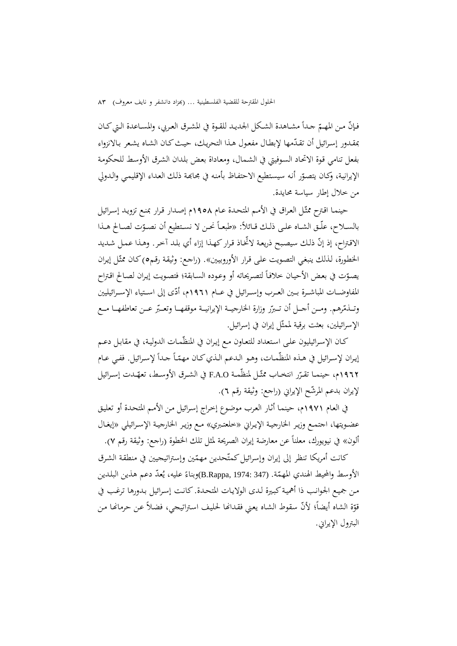فـإنّ مـن المهـمّ جـداً مشـاهدة الشكل الجديـد للقـوة في المشـرق العـربي، والمسـاعدة الـتي كـان مقدور إسرائيل أن تقدّمها لإبطال مفعول هـذا التحريك، حيث كـان الشـاه يشعر بـالانزواء بفعل تنامي قـوة الاتحـاد السـوفيتي في الشـمال، ومعـاداة بعـض بلـدان الشـرق الأوسـط للحكومـة الإيرانية، وكـان يتصوّر أنه سيستطيع الاحتفـاظ بأمنه في مجاهـة ذلك العداء الإقليمي والدولي من خلال إطار سياسة محايدة.

حينمـا اقترح ممثّـل العراق في الأمـم المتحدة عـام ١٩٥٨م إصـدار قـرار بمنـع تزويـد إسـرائيل بالسـلاح، علّـق الشـاه علـى ذلـك قـائلاً: «طبعـاً نحـن لا نسـتطيع أن نصـوّت لصـالح هـذا<br>-الاقتراح، إذ إنّ ذلك سيصبح ذريعة لاتخاذ قرار كهذا إزاء أي بلد آخر. وهذا عمل شديد الخطورة، لذلك ينبغي التصويت على قرار الأوروبيين». (راجع: وثيقة رقم٥) كـان ممثّل إيران يصوّت في بعض الأحيان خلافاً لتصريحاته أو وعوده السابقة؛ فتصويت إيران لصالح اقتراح المفاوضــات المباشــرة بــين العــرب وإســرائيل في عـــام ١٩٦١م، أدّى إلى اســتياء الإســرائيليين وتــذمّرهم. ومــن أحــل أن تــبرّر وزارة الخارجيــة الإيرانيــة موقفهــا وتعــبّر عــن تعاطفهــا مــع الإسرائيلين، بعثت برقية لممثّل إيران في إسرائيل.

كـان الإسرائيليون على استعداد للتعـاون مـع إيـران في المنظّمـات الدوليـة، في مقابـل دعـم إيران لإسرائيل في هـذه المنظّمـات، وهـو الـدعم الـذي كـان مهمّـاً حـداً لإسـرائيل. ففـي عـام ١٩٦٢م، حينمــا تقـرّر انتخــاب ممثّـل لمنظّمـة F.A.O في الشـرق الأوســط، تعهّــدت إسـرائيل لإيران بدعم المرشّح الإيراني (راجع: وثيقة رقم ٦).

في العـام 1971م، حينمـا أثـار العـرب موضـوع إخـراج إسـرائيل مـن الأمـم المتحـدة أو تعليـق عضــويتها، اجتمــع وزيــر الخارجيــة الإيــراني «خلعتــبري» مــع وزيــر الخارجيــة الإســرائيلي «إيغــال ألون» في نيويورك، معلناً عن معارضة إيران الصريحة لمثل تلك الخطوة (راجع: وثيقة رقم ٧).

كانت أمريكا تنظر إلى إيران وإسرائيل كمتّحدين مهمّين وإستراتيجيين في منطقة الشرق الأوسط والمحيط الهندي المهمّة. (347 :347 ,B.Rappa)وبناءً عليه، يُعدّ دعم هذين البلدين ي مـن جميـع الجوانـب ذا أهميـةكبـيرة لـدى الولايـات المتحـدة. كانـت إسـرائيل بـدورها ترغـب في قوّة الشاه أيضاً؛ لأنّ سقوط الشاه يعني فقدالها لحليف استراتيجي، فضلاً عن حرمانها من البترول الإيراني.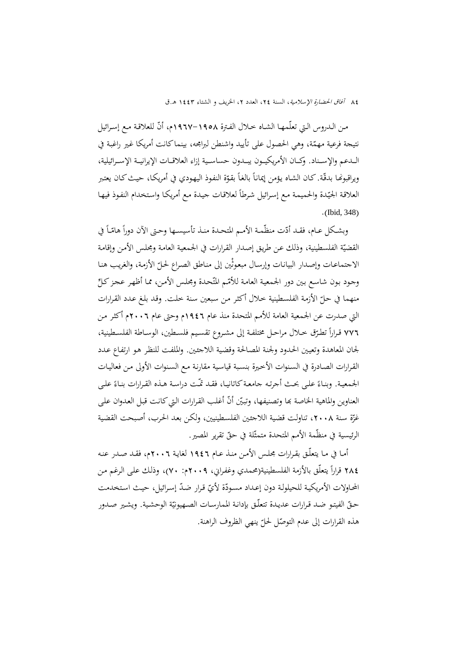مـن الـدروس الـتي تعلّمهـا الشـاه خـلال الفـترة ١٩٥٨–١٩٦٧م، أنّ للعلاقـة مـع إسـرائيل نتيجة فرعية مهمّة، وهي الحصول على تأييد واشنطن لبرامجه، بينماكانت أمريكا غير راغبة في الـــدعم والإســـناد. وكـــان الأمريكيـــون يبـــدون حساســـية إزاء العلاقـــات الإيرانيـــة الإســـرائيلية،  $\overline{a}$ ويراقبونها بدقّة. كـان الشـاه يؤمن إيماناً بالغاً بقوّة النفوذ اليهودي في أمريكـا، حيـث كـان يعتبر العلاقة الجيّدة والحميمة مع إسرائيل شرطاً لعلاقات جيدة مع أمريكا واستخدام النفوذ فيها .(Ibid, 348)

وبشكل عـام، فقـد أدّت منظّمـة الأمـم المتحـدة منـذ تأسيســها وحـتى الآن دوراً هامّـاً في القضيّة الفلسطينية، وذلك عن طريق إصدار القرارات في الجمعية العامة ومجلس الأمن وإقامة الاجتماعـات وإصـدار البيانـات وإرسـال مبعوثين إلى منـاطق الصـراع لحـلّ الأزمـة، والغريب هنـا وجود بون شاسع بين دور الجمعية العامة للأمّم المتّحدة ومجلس الأمن، مما أظهر عجز كلِّ منهما في حـلّ الأزمة الفلسطينية خـلال أكثـر مـن سبعين سنة خلت. وقـد بلـغ عـدد القـرارات التي صدرت عن الجمعية العامة للأمم المتحدة منذ عام 1946م وحتى عام 2006م أكثـر مـن ٧٧٦ قــرارًا تطـرّق خــلال مراحــل مختلفـة إلى مشــروع تقسـيم فلســطين، الوســاطة الفلســطينية، لجان المعاهدة وتعيـين الحـدود ولجنـة المصـالحة وقضـية اللاجئـين. والملفـت للنظـر هـو ارتفـاع عـدد القـرارات الصـادرة في السـنوات الأخـيرة بنسـبة قياسـية مقارنـة مـع السـنوات الأولى مـن فعاليـات الجمعية. وبنـاءً علـى بحـث أجرتـه جامعـة كاتانيـا، فقـد تمّـت دراسـة هـذه القـرارات بنـاءً علـى<br>. العناوين والماهية الخاصة بما وتصنيفها، وتبيّن أنّ أغلب القرارات التي كانت قبل العدوان على غزّة سنة ٢٠٠٨، تناولت قضية اللاجئين الفلسطينيين، ولكن بعد الحرب، أصبحت القضية الرئيسية في منظّمة الأمم المتحدة متمثّلة في حقّ تقرير المصير.<br>.

أمـا في مـا يتعلّـق بقـرارات مجلـس الأمـن منـذ عـام 1946 لغايـة 2006م، فقـد صـدر عنـه ٢٨٤ قرارًا يتعلّق بالأزمة الفلسطينية(محمدي وغفراني، ٢٠٠٩م: ٧٠)، وذلك على الرغم من المحاولات الأمريكية للحيلولة دون إعـداد مسـودّة لأيّ قـرار ضدّ إسـرائيل، حيـث اسـتخدمت حـقّ الفيتـو ضـد قـرارات عديـدة تتعلّـق بإدانـة الممارسـات الصـهيونيّة الوحشـية. ويشـير صـدور هذه القرارات إلى عدم التوصّل لحلّ ينهي الظروف الراهنة.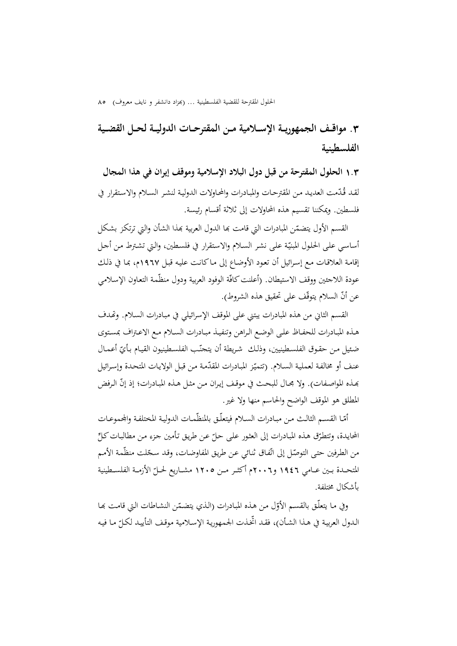**.**3 **مواقـــف الجمهوريـــة الإســـلامية مـــن المقترحـــات الدوليـــة لحـــل القضـــية الفلسطينية**

1**.**3 **الحلول المقترحة من قبل دول البلاد الإسلامية وموقف إيران في هذا المجال** لقـد قُدّمت العديد مـن المقترحـات والمبـادرات والمحاولات الدوليـة لنشـر السـلام والاستقرار في فلسطين. ويمكننا تقسيم هذه المحاولات إلى ثلاثة أقسام رئيسة.

القسم الأول يتضمّن المبادرات التي قامت بما الدول العربية بمذا الشأن والتي ترتكز بشكل أساسي على الحلول المبنيّة على نشر السلام والاستقرار في فلسطين، والتي تشترط من أحل إقامـة العلاقـات مـع إسـرائيل أن تعـود الأوضـاع إلى مـاكانـت عليـه قبـل 1967م، بمـا في ذلـك عودة اللاجئين ووقف الاستيطان. (أعلنت كافّة الوفود العربية ودول منظّمة التعاون الإسلامي عن أنّ السلام يتوقّف على تحقيق هذه الشروط).

القسم الثاني من هذه المبادرات يبتني على الموقف الإسرائيلي في مبـادرات السـلام. وēـدف هـذه المبـادرات للحفـاظ علـى الوضـع الـراهن وتنفيـذ مبـادرات السـلام مـع الاعـتراف بمسـتوى ضئيل مـن حقـوق الفلسـطينيين، وذلـك شريطة أن يتجنّـب الفلسـطينيون القيـام بـأيّ أعمـال عنف أو مخالفة لعملية السلام. (تتميّز المبادرات المقدّمة من قبل الولايات المتحدة وإسرائيل بِمـذه المواصـفات). ولا مجـال للبحـث في موقـف إيـران مـن مثـل هـذه المبـادرات؛ إذ إنَّ الـرفض المطلق هو الموقف الواضح والحاسم منها ولا غير.

أمّـا القسـم الثالـث مـن مبـادرات السـلام فيتعلّـق بالمنظّمـات الدولية المختلفـة والجحموعـات المحايدة، وتتطرّق هذه المبادرات إلى العثور على حلّ عن طريق تأمين جزء من مطالبات كلِّ من الطرفين حتى التوصّل إلى اتّفاق ثنائي عن طريق المفاوضات، وقد سجّلت منظّمة الأمم المتحــدة بــين عــامي ١٩٤٦ و٢٠٠٦م أكثــر مــن ١٢٠٥ مشــاريع لحــلّ الأزمــة الفلسـطينية بأشكال مختلفة.

وفي مـا يتعلّـق بالقسـم الأوّل مـن هـذه المبـادرات (الـذي يتضـمّـن النشـاطات الـتي قـامـت بمـا<br>-الـدول العربيـة في هـذا الشـأن)، فقـد اتخـذت الجمهوريـة الإسـلامية موقـف التأييـد لكـلّ مـا فيـه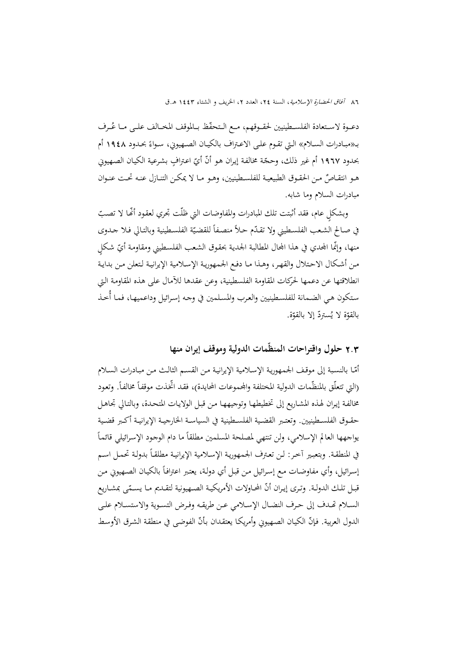دعــوة لاسـتعادة الفلســطينيين لحقــوقهم، مــع الـتحفّظ بــالموقف المخــالف علــى مــا عُــرف الــتي تقــوم علــى الاعــتراف بالكيــان الصــهيوني، ســواء 1948 أم ً بــ«مبــادرات الســلام» بحــدود بحدود ١٩٦٧ أم غير ذلك، وحجّة مخالفة إيران هو أنّ أيّ اعترافٍ بشرعية الكيان الصهيوني هـو انتقــاصٌ مـن الحقـوق الطبيعيــة للفلسـطينيين، وهــو مــا لا يمكــن التنــازل عنــه تحــت عنــوان مبادرات السلام وما شابه.

وبشكلٍ عام، فقد أثبتت تلك المبادرات والمفاوضات التي ظلّت تجري لعقود أنَّها لا تصبّ في صـالح الشـعب الفلسـطيني ولا تقـدّم حـلاً منصـفاً للقضـيّة الفلسـطينية وبالتـالي فـلا جـدوى منها، وإنّما المحدي في هذا المجال المطالبة الجدية بحقوق الشعب الفلسـطيني ومقاومة أيّ شكلٍ مـن أشـكال الاحـتلال والقهـر، وهـذا مـا دفـع الجمهوريـة الإسـلامية الإيرانيـة لـتعلن مـن بدايـة انطلاقتها عن دعمها لحركات المقاومة الفلسطينية، وعن عقدها للآمال على هذه المقاومـة الـتي سـتكون هـي الضـمانة للفلسـطينيين والعـرب والمسـلمين في وجـه إسـرائيل وداعميهـا، فمـا أُخـذ بالقوّة لا يُستردّ إلا بالقوّة.

2**.**3 **حلول واقتراحات المنظّمات الدولية وموقف إيران منها**

أمّـا بالنسبة إلى موقف الجمهورية الإسلامية الإيرانية من القسـم الثالث مـن مبـادرات السـلام (التي تتعلّق بالمنظّمات الدولية المختلفة والمحموعات المحايدة)، فقد اتخذت موقفاً مخالفاً. وتعود مخالفـة إيـران لهـذه المشـاريع إلى تخطيطهـا وتوجيههـا مـن قبـل الولايـات المتحـدة، وبالتـالي تجاهـل حقــوق الفلســطينيين. وتعتــبر القضــية الفلســطينية في السياســة الخارجيــة الإيرانيــة أكــبر قضــية  $\overline{\phantom{a}}$ يواجهها العالم الإسلامي، ولن تنتهي لمصلحة المسلمين مطلقاً ما دام الوجود الإسرائيلي قائماً في المنطقـة. وبتعبـير آخـر: لـن تعـترف الجمهوريـة الإسـلامية الإيرانيـة مطلقـًأ بدولـة تحمـل اسـم إسرائيل، وأي مفاوضـات مـع إسـرائيل مـن قبـل أي دولـة، يعتبر اعترافـًا بالكيـان الصـهيوني مـن قبـل تلـك الدولـة. وتـرى إيـران أنّ المحـاولات الأمريكيـة الصــهيونية لتقــديم مـا يسـمّـى بمشـاريع الســلام ēــدف إلى حــرف النضــال الإســلامي عــن طريقــه وفــرض التســوية والاستســلام علــى الدول العربية. فإنّ الكيان الصهيوني وأمريكا يعتقدان بأنّ الفوضى في منطقة الشرق الأوسط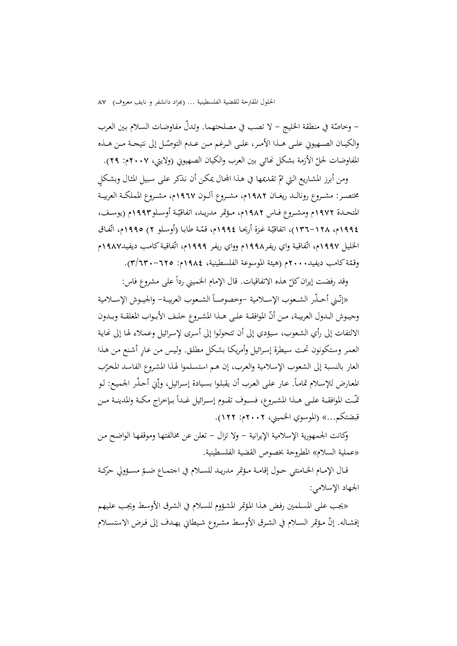– وخاصّة في منطقة الخليج – لا تصب في مصلحتهما. وتدلّ مفاوضات السلام بين العرب والكيــان الصــهيوني علــى هــذا الأمـر، علــى الـرغم مــن عــدم التوصّــل إلى نتيجــة مــن هــذه المفاوضات لحلّ الأزمة بشكل نمائي بين العرب والكيان الصهيوبي (ولايتي، ٢٠٠٧م: ٢٩).

ومن أبرز المشاريع التي تمّ تقديمها في هذا المجال يمكن أن نذكر على سبيل المثال وبشكلٍ مختصــر: مشــروع رونالــد ريغــان 1982م، مشــروع آلــون 1967م، مشــروع المملكــة العربيــة المتحـدة ١٩٧٢م ومشـروع فــاس ١٩٨٢م، مـؤتمر مدريـد، اتفاقيّـة أوسـلو١٩٩٣م (يوسـف، ١٩٩٤م، ١٢٨–١٣٦)، اتفاقيّة غزة أريحـا ١٩٩٤م، قمّة طابـا (أوسـلو ٢) ١٩٩٥م، اتّفـاق الخليل ١٩٩٧م، اتّفاقية واي ريفر١٩٩٨م وواي ريفر ١٩٩٩م، اتّفاقية كامب ديفيد١٩٨٧م وقمّة كامب ديفيد.٢٠٠٠م (هيئة الموسوعة الفلسطينية، ١٩٨٤م: ٦٢٥–٣/٦٣).

 $\overline{a}$ وقد رفضت إيران كلّ هذه الاتفاقيات. قال الإمام الخميني رداً على مشروع فاس:<br>.

«إنّـني أحـذّر الشـعوب الإسـلامية –وخصوصــأ الشـعوب العربيـة– والجيـوش الإسـلامية وجيـوش الــدول العربيــة، مـن أنّ الموافقــة علـى هــذا المشـروع خلـف الأبــواب المغلقــة وبــدون الالتفات إلى رأي الشعوب، سيؤدي إلى أن تتحولوا إلى أسرى لإسرائيل وعملاء لها إلى نحاية العمر وستكونون تحت سيطرة إسرائيل وأمريكـا بشكل مطلق. وليس من عـار أشنع مـن هـذا العار بالنسبة إلى الشعوب الإسلامية والعرب، إن هـم استسلموا لهذا المشروع الفاسد المخرّب المعارض للإسلام تماماً. عـار علـى العرب أن يقبلوا بسيادة إسرائيل، وإّني أحـذّر الجميع: لـو قّـت الموافقــة علــى هــذا المشـروع، فســوف تقــوم إســرائيل غــداً بــإخراج مكــة والمدينــة مــن قبضتكم...» (الموسوي الخميني، 2002م: 122).

وكانت الجمهورية الإسلامية الإيرانية - ولا تزال - تعلن عن مخالفتهـا وموقفهـا الواضـح مـن «عملية السلام» المطروحة بخصوص القضية الفلسطينية.

قـال الإمـام الخــامنئي حـول إقامـة مـؤتمر مدريـد للســلام في اجتمــاع ضــمّ مسـؤولي حركـة الجهاد الإسلامي:

«يجـب علـى المسـلمين رفـض هـذا المـؤتمر المشـؤوم للسـلام في الشـرق الأوسـط ويجـب علـيهم إفشـاله. إنّ مؤتمر السـلام في الشـرق الأوسـط مشـروع شيطاني يهـدف إلى فـرض الاستسـلام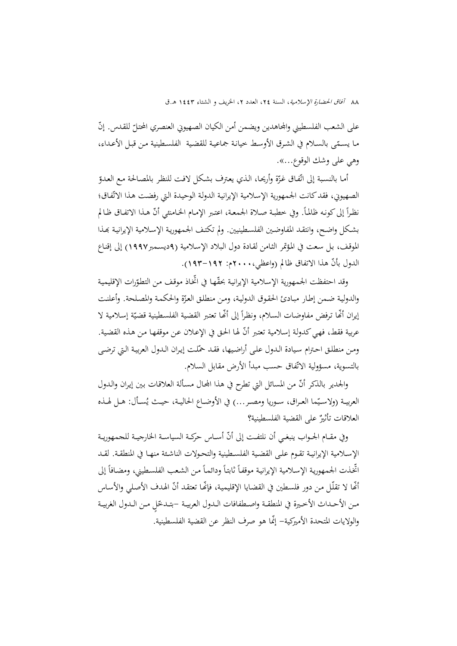على الشعب الفلسطيني والجحامدين ويضمن أمن الكيان الصهيوني العنصري المحتلّ للقدس. إنّ مـا يسـمّى بالسـلام في الشـرق الأوسـط خيانـة جماعيـة للقضية الفلسـطينية مـن قبـل الأعـداء،<br>. وهي على وشك الوقوع...».

أمـا بالنسبة إلى اتّفـاق غزّة وأريحـا، الـذي يعترف بشكل لافت للنظر بالمصـالحة مـع العدوّ الصهيوني، فقد كانت الجمهورية الإسلامية الإيرانية الدولة الوحيدة التي رفضت هذا الاتّفاق؛ نظراً إلى كونه ظالماً. وفي خطبة صلاة الجمعة، اعتبر الإمام الخامنئي أنّ هذا الاتفاق ظالم بشكل واضح، وانتقـد المفاوضـين الفلسـطينيين. ولم تكتـف الجمهورية الإسـلامية الإيرانيـة بمـذا الموقـف، بـل سـعت في المـؤتمر الثـامن لقـادة دول الـبلاد الإسـلامية (9ديسـمبر1997) إلى إقنـاع الدول بأنّ هذا الاتفاق ظالم (واعظي،١٠٠٠م: ١٩٢–١٩٣).

وقد احتفظت الجمهورية الإسلامية الإيرانية بحقّها في اتخاذ موقف من التطوّرات الإقليمية والدولية ضـمن إطـار مبـادئ الحقوق الدولية، ومن منطلق العزّة والحكمـة والمصلحة. وأعلنت إيران أئّما ترفض مفاوضـات السـلام، ونظراً إلى أنّها تعتبر القضية الفلسـطينية قضيّة إسـلامية لا عربية فقط، فهي كدولة إسلامية تعتبر أنّ لها الحق في الإعلان عن موقفها من هذه القضية. ومـن منطلق احـترام سيادة الـدول علـى أراضيها، فقـد حمّلت إيـران الـدول العربيـة الـتي ترضـى بالتسوية، مسؤولية الاتّفاق حسب مبدأ الأرض مقابل السلام.

والجدير بالذكر أنّ من المسائل التي تطرح في هذا المحال مسألة العلاقات بين إيران والدول العربيــة (ولاسـيّما العـراق، ســوريا ومصــر...) في الأوضــاع الحاليــة، حيــث يُســأل: هــل لهــذه العلاقات تأثيرٌ على القضية الفلسطينية؟<br>.

وفي مقـام الجــواب ينبغـي أن نلتفـت إلى أنّ أســاس حركــة السياسـة الخارجيــة للجمهوريــة الإســلامية الإيرانيــة تقــوم علــى القضــية الفلســطينية والتحــولات الناشــئة منهــا في المنطقــة. لقــد اتخذت الجمهورية الإسلامية الإيرانية موقفاً ثابتاً ودائماً من الشعب الفلسطيني، ومضافاً إلى أنَّما لا تقلّل من دور فلسطين في القضايا الإقليمية، فإنَّحا تعتقد أنَّ الهدف الأصلي والأساس مـن الأحـداث الأخـيرة في المنطقــة واصــطفافات الــدول العربيــة –بتـدخّلٍ مـن الـدول الغربيــة والولايات المتحدة الأميركية- ّإنما هو صرف النظر عن القضية الفلسطينية.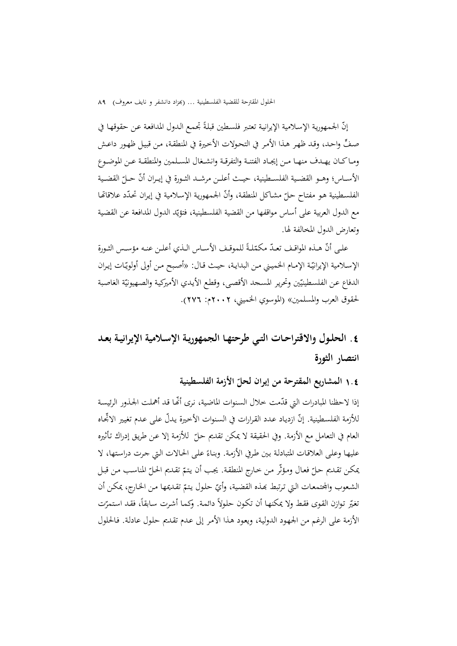إنّ الجمهورية الإسلامية الإيرانية تعتبر فلسطين قبلةً تجمع الدول المدافعة عن حقوقها في ٍّصـف واحـد، وقـد ظهـر هـذا الأمـر في التحـولات الأخـيرة في المنطقـة، مـن قبيـل ظهـور داعـش ومــاكــان يهــدف منهــا مــن إيجــاد الفتنــة والتفرقــة وانشــغال المســلمين والمنطقــة عــن الموضــوع الأســاس؛ وهــو القضـية الفلســطينية، حيــث أعلــن مرشــد الثــورة في إيــران أنّ حــلّ القضــية الفلسـطينية هـو مفتـاح حـلّ مشـاكل المنطقة، وأنّ الجمهورية الإسلامية في إيـران تحدّد علاقاتها مع الدول العربية على أساس مواقفها من القضية الفلسطينية، فتؤيّد الدول المدافعة عن القضية وتعارض الدول المخالفة لها.

علـى أنّ هـذه المواقـف تعـدّ مكمّلـةً للموقـف الأسـاس الـذي أعلـن عنـه مؤسـس الثـورة الإسلامية الإيرانيّة الإمـام الخميني مـن البدايـة، حيـث قـال: «أصبح مـن أولى أولويّـات إيـران الدفاع عن الفلسطينيّين وتحرير المسحد الأقصى، وقطع الأيدي الأميركية والصهيونيّة الغاصبة لحقوق العرب والمسلمين» (الموسوي الخميني، 2002م: 276).

# **.**4 **الحلـول والاقتراحـات التـي طرحتهـا الجمهوريـة الإسـلامية الإيرانيـة بعـد انتصار الثورة**

**ّ** <sup>1</sup>**.**<sup>4</sup> **الأزمة الفلسطينية المشاريع المقترحة من إيران لحل**

إذا لاحظنا المبادرات التي قدّمت خلال السنوات الماضية، نرى أنَّما قد أهملت الجـذور الرئيسة للأزمة الفلسطينية. إنّ ازدياد عـدد القرارات في السنوات الأخيرة يدلّ على عـدم تغيير الاتجـاه العام في التعامل مع الأزمة. وفي الحقيقة لا يمكن تقديم حـلّ للأزمة إلا عـن طريق إدراك تأثيره<br>. عليهـا وعلـى العلاقـات المتبادلـة بين طرفي الأزمـة. وبنـاءً علـى الحـالات الـتي جرت دراستها، لا<br>-بمكن تقديم حلّ فعال ومؤثّر من حارج المنطقة. يجب أن يتمّ تقديم الحلّ المناسب من قبل الشعوب والجتمعات التي ترتبط بمذه القضية، وأيّ حلول يتمّ تقديمها من الخارج، يمكن أن نغيّر توازن القوى فقط ولا يمكنها أن تكون حلولاً دائمة. وكما أشرت سابقاً، فقد استمرّت الأزمة على الرغم من الجهـود الدوليـة، ويعـود هـذا الأمـر إلى عـدم تقـديم حلـول عادلـة. فـالحلول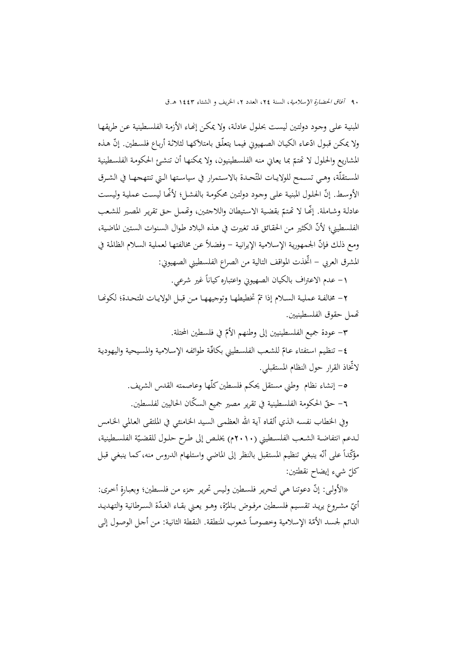المبنية علمي وجود دولتين ليست بحلول عادلـة، ولا يمكـن إنهـاء الأزمـة الفلسـطينية عـن طريقهـا ولا يمكن قبـول ادّعـاء الكيـان الصـهيوني فيمـا يتعلّـق بامتلاكهـا لثلاثـة أربـاع فلسـطين. إنّ هـذه المشاريع والحلول لا تحتمّ بما يعاني منه الفلسطينيون، ولا يمكنها أن تنشئ الحكومة الفلسطينية المستقلّة، وهـي تسـمح للولايـات المتّحـدة بالاسـتمرار في سياسـتها الـتي تنتهجهـا في الشـرق الأوسط. إنّ الحلول المبنية على وجود دولتين محكومة بالفشل؛ لأنَّما ليست عملية وليست عادلة وشـاملة. إنّها لا تّمتمّ بقضية الاستيطان واللاجئين، وتّممل حق تقرير المصير للشعب الفلسطيني؛ ّلأن الكثير مـن الحقـائق قـد تغـيرت في هـذه الـبلاد طـوال السـنوات السـتين الماضـية، ومع ذلك فإنّ الجمهورية الإسلامية الإيرانية – وفضلاً عن مخالفتها لعملية السلام الظالمة في المشرق العربي - ّ اتخذت المواقف التالية من الصراع الفلسطيني الصهيوني:

١– عدم الاعتراف بالكيان الصهيوني واعتباره كياناً غير شرعي.

٢ - مخالفـة عمليـة السـلام إذا تمّ تخطيطهـا وتوجيههـا مـن قبـل الولايـات المتحـدة؛ لكونهـا ēمل حقوق الفلسطينيين.

٣– عودة جميع الفلسطينيين إلى وطنهم الأمّ في فلسطين المحتلة.

**٤**– تنظيم استفتاء عـامّ للشعب الفلسطيني بكافّة طوائفه الإسلامية والمسيحية واليهودية ّلاتخاذ القرار حول النظام المستقبلي.

> -5 إنشاء نظام وطني مستقل يحكم فلسطينكلّها وعاصمته القدس الشريف. ٦– حقّ الحكومة الفلسطينية في تقرير مصير جميع السكّان الحاليين لفلسطين.

وفي الخطاب نفسـه الـذي ألقـاه آيـة االله العظمـى السـيد الخـامنئي في الملتقـى العـالمي الخـامس لـدعم انتفاضـة الشـعب الفلسـطيني (٢٠١٠م) يخلـص إلى طـرح حلـول للقضـيّة الفلسـطينية، مؤكَّداً على أنّه ينبغي تنظيم المستقبل بالنظر إلى الماضي واستلهام الدروس منه، كما ينبغي قبل ّ شيء إيضاح نقطتين: كل

«الأولى: إنّ دعوتنا هي لتحرير فلسطين وليس تحرير جزء من فلسطين؛ وبعبارةٍ أخرى: أيّ مشـروع يريـد تقسـيم فلسـطين مرفـوض بـالمرّة، وهـو يعـني بقـاء الغـدّة السـرطانية والتهديـد<br>. الدائم لجسد الأمّة الإسلامية وخصوصاً شعوب المنطقة. النقطة الثانية: من أجل الوصول إلى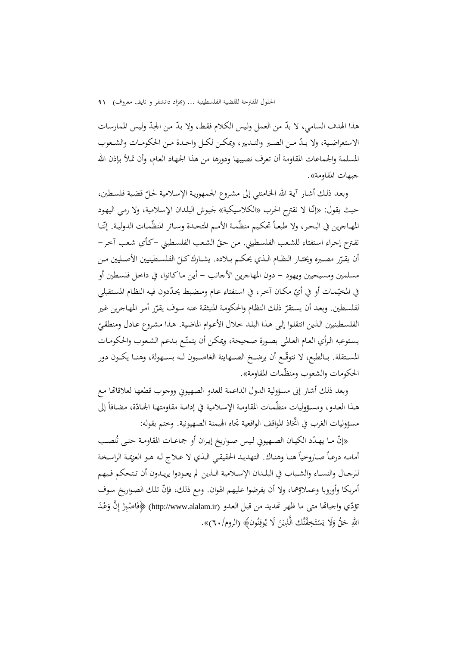هذا الهدف السامي، لا بدّ من العمل وليس الكلام فقط، ولا بدّ من الجِدّ وليس الممارسات ∫<br>≃ الاستعراضـية، ولا بـدّ مـن الصـبر والتـدبير، ويمكـن لكـل واحـدة مـن الحكومـات والشـعوب المسلمة والجماعات المقاومة أن تعرف نصيبها ودورها من هذا الجهـاد العـام، وأن تمـلأ بـإذن االله جبهات المقاومة».

وبعـد ذلـك أشـار آيـة الله الخـامنئـي إلى مشـروع الجـمهوريـة الإسـلامية لحـلّ قضـية فلسـطين،<br>-حيث يقول: «إنّنا لا نقترح الحرب «الكلاسيكية» لجيوش البلدان الإسلامية، ولا رمي اليهود المهـاجرين في البحـر، ولا طبعـاً تحكيم منظّمة الأمـم المتحـدة وسـائر المنظّمـات الدوليـة. إنّنـا نقـترح إجـراء استفتاء للشـعب الفلسـطيني. مـن حـقّ الشـعب الفلسـطيني –كـأي شـعب آخـر– أن يقـرّر مصـيره ويختــار النظــام الـذي يحكــم بــلاده. يشــارك كــلّ الفلســطينيين الأصــليين مــن<br>م مسلمين ومسيحيين ويهود - دون المهاجرين الأجانب - أيـن مـاكـانوا، في داخـل فلسـطين أو في المخيّمات أو في أيّ مكـان آخر، في استفتاء عـام ومنضبط يحدّدون فيه النظـام المستقبلي لفلسطين. وبعد أن يستقرّ ذلك النظام والحكومة المنبثقة عنه سوف يقرّر أمر المهاجرين غير الفلسـطينيين الـذين انتقلـوا إلـى هـذا البلـد خـلال الأعـوام الماضية. هـذا مشـروع عـادل ومنطقـيّ<br>-يستوعبه الرأي العـام العـالمي بصـورة صـحيحة، ويمكـن أن يتمتّـع بـدعم الشعوب والحكومـات المسـتقلة. بــالطبع، لا نتوقّــع أن يرضــخ الصــهاينة الغاصـبون لــه بســهولة، وهنــا يكــون دور الحكومات والشعوب ومنظّمات المقاومة».

وبعد ذلك أشار إلى مسؤولية الدول الداعمة للعدو الصهيوني ووجوب قطعها لعلاقاēا مـع هـذا العـدو، ومسـؤوليات منظّمـات المقاومـة الإسـلامية في إدامـة مقاومتهـا الجـادّة، مضـافاً إلى مسؤوليات الغرب في ّ اتخاذ المواقف الواقعية تجاه الهيمنة الصهيونية. وختم بقوله:

«إنّ مـا يهـدّد الكيــان الصـهيوني لـيس صــواريخ إيـران أو جماعــات المقاومـة حتــى تُنصـب أمامـه درعـاً صـاروخياً هنـا وهنـاك. التهديد الحقيقـي الـذي لا عـلاج لـه هـو العزيمـة الراسـخة للرجــال والنســاء والشــباب في البلــدان الإســلامية الــذين لم يعــودوا يريــدون أن تــتحكم فــيهم أمريكا وأوروبا وعملاؤهما، ولا أن يفرضوا عليهم الهوان. ومع ذلك، ّ فإن تلـك الصـواريخ سـوف َ تؤد ir.alalam.www://http **﴿** (ّي واجباēا متی ما ظهر ēديد من قبـل العـدو ( ْـد َع ِ َّن و ْ إ اصِ ـبر ْ َ ف اللهِ حَقٌّ وَلَا يَسْتَخِفَّنَّك الَّذِيَنَ لَا يُوقِنُون﴾ (الروم/٣٠)». َ ن ِ ي ِ : ت ا<br>ا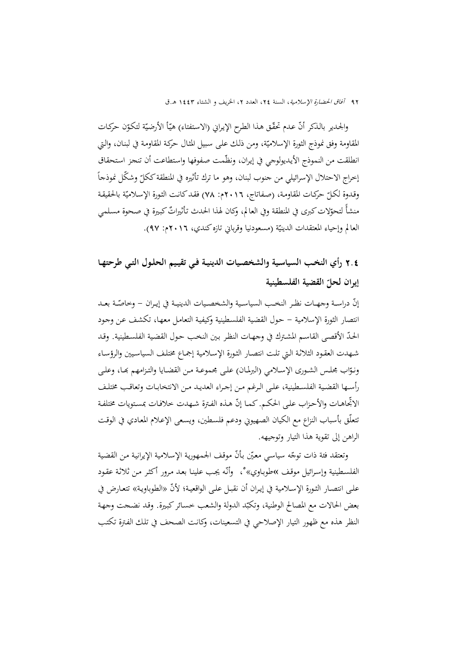والجدير بالذكر أنّ عدم تحقّق هذا الطرح الإيراني (الاستفتاء) هيّأ الأرضيّة لتكوّن حركات<br>-المقاومة وفق نموذج الثورة الإسلاميّة، ومن ذلك على سبيل المثال حركة المقاومة في لبنـان، والـتي انطلقت من النموذج الأيديولوجي في إيران، ونظّمت صفوفها واستطاعت أن تنجز استحقاق  $\overline{a}$ إخراج الاحتلال الإسرائيلي من جنوب لبنان، وهو ما ترك تأثيره في المنطقة ككلّ وشكّل نموذجاً وقـدوة لكـلّ حركـات المقاومـة، (صـفـاتاج، ٢٠١٦م: ٧٨) فقـد كـانـت الثـورة الإسـلاميّة بالحقيقـة<br>-منشأ لتحوّلات كبرى في المنطقة وفي العالم، وكان لهذا الحدث تأثيراتٌ كبيرة في صحوة مسلمي العالم وإحياء المعتقدات الدينيّة (مسعودنيا وقرباني تازه كندي، ٢٠١٦م: ٩٧).

2**.**4 **رأي النخـب السياسـية والشخصـيات الدينيـة فـي تقيـيم الحلـول التـي طرحتهـا ّ القضية الفلسطينية إيران لحل**

إنّ دراسـة وجهــات نظـر النخـب السياسـية والشخصـيات الدينيـة في إيـران – وخاصّـة بعــد انتصار الثورة الإسلامية - حـول القضـية الفلسـطينية وكيفيـة التعامـل معهـا، تكشـف عـن وجـود الحدّ الأقصى القاسم المشترك في وجهـات النظر بين النخب حول القضية الفلسطينية. وقد شـهدت العقـود الثلاثـة الـتي تلـت انتصـار الثـورة الإسـلامية إجمـاع مختلـف السياسـيين والرؤسـاء ونـوّاب مجلـس الشـورى الإســلامي (البرلمـان) علـى مجموعــة مـن القضـايا والتـزامهم بَمـا، وعلـى رأســها القضــية الفلســطينية، علــى الــرغم مــن إجــراء العديــد مــن الانتخابــات وتعاقــب مختلــف الاتحاهـات والأحزاب على الحكـم. كمـا إنّ هـذه الفـترة شـهدت خلافـات بمستويات مختلفـة تتعلّق بأسباب النزاع مع الكيان الصهيوني ودعم فلسـطين، ويسـعى الإعـلام المعـادي في الوقـت الراهن إلى تقوية هذا التيار وتوجيهه.

وتعتقد فئة ذات توجّه سياسي معيّن بأنّ موقف الجمهورية الإسلامية الإيرانية من القضية الفلسطينية وإسرائيل موقف »طوباوي»°، وأنّه يجب علينا بعد مرور أكثر من ثلاثة عقود علـى انتصـار الثـورة الإسـلامية في إيـران أن نقبـل علـى الواقعيـة؛ «الطوباويـة» تتعـارض في ّلأن بعض الحالات مع المصالح الوطنية، وتكبّد الدولة والشعب خسائر كبيرة. وقد نضحت وجهة النظر هذه مع ظهور التيار الإصلاحي في التسعينات، وكانـت الصـحف في تلـك الفـترة تكتـب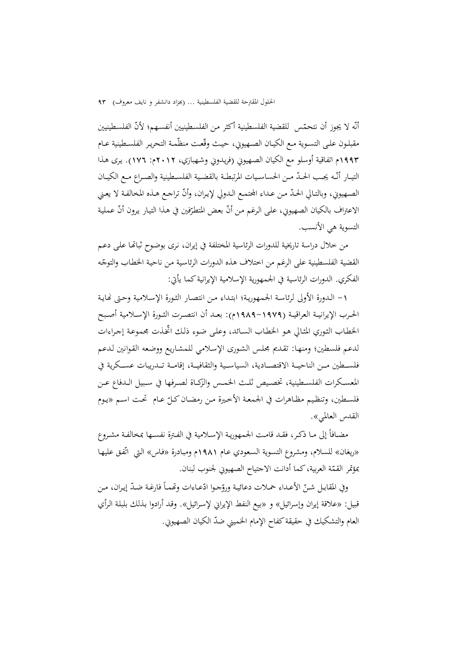أنّه لا يجوز أن نتحمّس للقضية الفلسطينية أكثر من الفلسطينيين أنفسـهم؛ لأنّ الفلسطينيين مقبلـون علـى التسـوية مـع الكيـان الصـهيوني، حيـث وقّعـت منظّمـة التحريـر الفلسـطينية عــام 1993م اتفاقية أوسلو مع الكيان الصـهيوني (فريـدوني وشـهبازي، 2012م: 176). يـرى هـذا التيـار أنّـه يجـب الحـدّ مـن الحساسـيات المرتبطـة بالقضـية الفلسـطينية والصـراع مـع الكيــان الصهيوني، وبالتـالي الحـدّ مـن عـداء المجتمـع الـدولي لإيـران، وأنّ تراجـع هـذه المخالفـة لا يعـني الاعتراف بالكيان الصهيوني، على الرغم من أنّ بعض المتطرِّفين في هذا التيار يرون أنّ عملية<br>. التسوية هي الأنسب.

من خلال دراسة تاريخية للدورات الرئاسية المختلفة في إيران، نـرى بوضـوح ثباēـا علـى دعـم القضية الفلسطينية على الرغم من اختلاف هذه الدورات الرئاسية من ناحية الخطاب والتوجّه الفكري. الدورات الرئاسية في الجمهورية الإسلامية الإيرانيةكما يأتي:

-1 الـدورة الأولى لرئاسـة الجمهوريـة؛ ابتـداء مـن انتصـار الثـورة الإسـلامية وحـتى Ĕايـة الحــرب الإيرانيــة العراقيــة (-1979 1989م): بعــد أن انتصــرت الثــورة الإســلامية أصــبح الخطـاب الثـوري المثـالي هـو الخطـاب السـائد، وعلـى ضـوء ذلـك ّ ــ اتخذت مجموعـة إجـراءات لدعم فلسطين؛ ومنهـا: تقـديم مجلـس الشـورى الإسـلامي للمشـاريع ووضـعه القـوانين لـدعم فلســـطين مـــن الناحيـــة الاقتصـــادية، السياســـية والثقافيـــة، إقامـــة تـــدريبات عســـكرية في المعســكرات الفلســطينية، تخصــيص ثلــث الخمــس والزكــاة لصــرفها في ســبيل الــدفاع عــن فلسـطين، وتنظـيم مظـاهرات في الجمعـة الأخـيرة مـن رمضـان كـلّ عـام تحـت اسـم «يـوم القدس العالمي».

مضــافاً إلى مــا ذكـر، فقـد قامـت الجمهوريـة الإسـلامية في الفـترة نفســها بمخالفـة مشـروع «ريغان» للسلام، ومشروع التسوية السعودي عـام ١٩٨١م ومبـادرة «فـاس» الـتي اتّفـق عليهـا بمؤتمر القمّة العربية،كما أدانت الاجتياح الصهيوني لجنوب لبنان.

وفي المقابـل شـنّ الأعـداء حملات دعائيـة وروّجـوا ادّعـاءات وتّممـاً فارغـة ضـدّ إيـران، مـن قبيل: «علاقة إيران وإسرائيل» و «بيع النفط الإيراني لإسـرائيل». وقـد أرادوا بـذلك بلبلـة الـرأي العام والتشكيك في حقيقة كفاح الإمام الخميني ضدّ الكيان الصهيوني.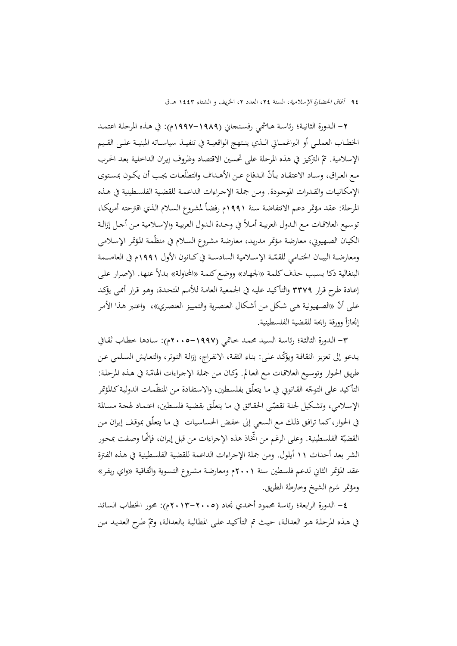-2 الـدورة الثانيـة؛ رئاسـة هـاشمي رفسـنجاني (1997-1989م): في هـذه المرحلـة اعتمـد الخطــاب العملــي أو البراغمــاتي الــذي ينــتهج الواقعيــة في تنفيــذ سياســاته المبنيــة علــى القــيم الإسلامية. تمّ التركيز في هذه المرحلة على تحسين الاقتصاد وظروف إيران الداخلية بعد الحرب مـع العراق، وسـاد الاعتقـاد بـأنّ الـدفاع عـن الأهـداف والتطلّعـات يجـب أن يكـون بمستوى الإمكانيـات والقـدرات الموجـودة. ومـن جملـة الإجـراءات الداعمـة للقضـية الفلسـطينية في هـذه المرحلة: عقد مؤتمر دعـم الانتفاضة سنة ١٩٩١م رفضاً لمشروع السلام الذي اقترحته أمريكـا، نوسيع العلاقـات مـع الـدول العربيـة أمـلاً في وحـدة الـدول العربيـة والإسـلامية مـن أجـل إزالـة الكيـان الصـهيوني، معارضة مؤتمر مدريد، معارضة مشروع السـلام في منظّمة المؤتمر الإسـلامي ومعارضــة البيــان الختــامي للقمّــة الإســلامية السادســة في كــانون الأول ١٩٩١م في العاصــمة<br>. البنغالية دكا بسبب حذف كلمة «الجهاد» ووضع كلمة «المحاولة» بدلاً عنها. الإصرار على إعـادة طـرح قـرار 3379 والتأكيـد عليـه في الجمعيـة العامـة للأمـم المتحـدة، وهـو قـرار أممـي يؤكـد على أنّ «الصهيونية هي شكل من أشكال العنصرية والتمييز العنصري»، واعتبر هذا الأمر إنجازاً وورقة رابحة للقضية الفلسطينية.

-3 الـدورة الثالثـة؛ رئاسـة السـيد محمـد خـاتمي (2005-1997م): سـادها خطـاب ثقـافي يدعو إلى تعزيز الثقافة ويؤكّد على: بناء الثقة، الانفراج، إزالـة التوتر، والتعايش السلمي عن طريق الحوار وتوسيع العلاقـات مـع العـالم. وكـان مـن جملـة الإجـراءات الهامّـة في هـذه المرحلـة: التأكيد على التوجّه القـانوني في مـا يتعلَّق بفلسـطين، والاستفادة مـن المنظَّمـات الدولية كـالمؤتمر الإسـلامي، وتشكيل لجنـة تقصّـى الحقـائق في مـا يتعلّـق بقضية فلسـطين، اعتمـاد لهجـة مسـالمة في الحوار،كما ترافـق ذلـك مـع السـعي إلى خفـض الحساسـيات في مـا يتعلّـق بموقـف إيـران مـن القضيّة الفلسطينية. وعلى الرغم من اتخاذ هذه الإجراءات من قبل إيران، فإنَّما وصفت بمحور الشر بعد أحداث 11 أيلول. ومن جملة الإجراءات الداعمة للقضية الفلسطينية في هـذه الفـترة عقد المؤتمر الثاني لدعم فلسطين سنة ٢٠٠١م ومعارضة مشروع التسوية واتّفاقية «واي ريفر» ومؤتمر شرم الشيخ وخارطة الطريق.

-4 الدورة الرابعة؛ رئاسة محمود أحمدي نجاد (2013-2005م): محور الخطاب السائد في هـذه المرحلـة هـو العدالـة، حيـث تم التأكيـد علـى المطالبـة بالعدالـة، وتمّ طـرح العديـد مـن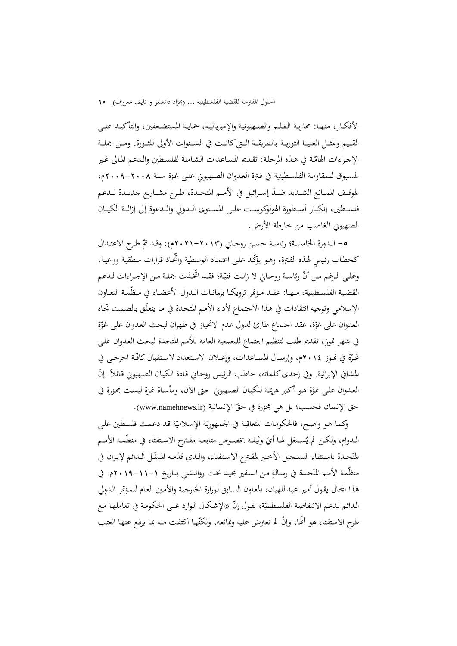الأفكــار، منهــا: محاربــة الظلــم والصــهيونية والإمبرياليــة، حمايــة المستضــعفين، والتأكيــد علــى القــيم والمثــل العليــا الثوريــة بالطريقــة الــتي كـانــت في الســنوات الأولى للثــورة. ومــن جملــة الإجراءات الهامّة في هـذه المرحلة: تقـديم المساعدات الشـاملة لفلسـطين والدعم المالي غير المسـبوق للمقاومـة الفلسـطينية في فـترة العـدوان الصـهيوني علـى غـزة سـنة 2009-2008م، الموقــف الممــانع الشــديد ضــدّ إســرائيل في الأمــم المتحـدة، طـرح مشــاريع جديــدة لــدعم فلســطين، إنكــار أســطورة الهولوكوســت علــى المســتوى الــدولي والــدعوة إلى إزالــة الكيــان الصهيوني الغاصب من خارطة الأرض.

0- الـدورة الخامسـة؛ رئاسـة حسـن روحـاني (٢٠١٣-٢٠٢١م): وقـد تمّ طـرح الاعتـدال كخطاب رئيسٍ لهذه الفترة، وهـو يؤكّد على اعتماد الوسطية واتّخاذ قرارات منطقية وواعية. وعلـى الـرغم مـن أنّ رئاسـة روحـاني لا زالـت فتيّـة؛ فقـد اتخـذت جملـة مـن الإجـراءات لـدعم القضـية الفلسـطينية، منهــا: عقــد مـؤتمر ترويكـا برلمانــات الــدول الأعضــاء في منظّمـة التعــاون الإسلامي وتوجيه انتقادات في هـذا الاجتمـاع لأداء الأمـم المتحـدة في مـا يتعلّـق بالصـمت تجـاه العدوان على غزّة، عقد احتماع طارئ لدول عدم الانحياز في طهران لبحث العدوان على غزّة في شهر تموز، تقديم طلب لتنظيم اجتماع للجمعية العامة للأمم المتحـدة لبحـث العـدوان علـى غـزّة في تمـوز ٢٠١٤م، وإرسـال المسـاعدات، وإعــلان الاسـتعداد لاسـتقبال كافّـة الجرحـى في المشافي الإيرانية. وفي إحدى كلماته، خاطب الرئيس روحـاني قـادة الكيـان الصـهيوني قـائلاً: إنّ العدوان على غزّة هـو أكبر هزيمة للكيـان الصـهيوني حتى الآن، ومأسـاة غـزة ليسـت مجـزرة في حق الإنسان فحسب؛ بل هي مجزرة في حقّ الإنسانية (www.namehnews.ir).

وكمـا هـو واضح، فالحكومـات المتعاقبة في الجمهوريّة الإسلاميّة قـد دعمت فلسطين علـى الـدوام، ولكـن لم يُســجّل لهـا أيّ وثيقـة بخصـوص متابعـة مقـترح الاسـتفتاء في منظّمـة الأمـم المُتّحـدة باسـتثناء التسـجيل الأخـير لمقـترح الاسـتفتاء، والـذي قدّمـه الممثّـل الـدائم لإيـران في منظّمة الأمـم المتّحـدة في رسالةٍ مـن السـفير مجيـد تخت روانتشـي بتـاريخ ١١-١١-٢٠١٩م. في هذا اجملـال يقـول أمـير عبـداللهيان، المعـاون السـابق لـوزارة الخارجيـة والأمـين العـام للمـؤتمر الـدولي الـدائم لـدعم الانتفاضـة الفلسـطينيّة، يقـول إنّ «الإشـكال الـوارد علـى الحكومـة في تعاملهـا مـع طرح الاستفتاء هو أنّها، وإنْ لم تعترض عليه وتمانعه، ولكنّها اكتفت منه بما يرفع عنها العتب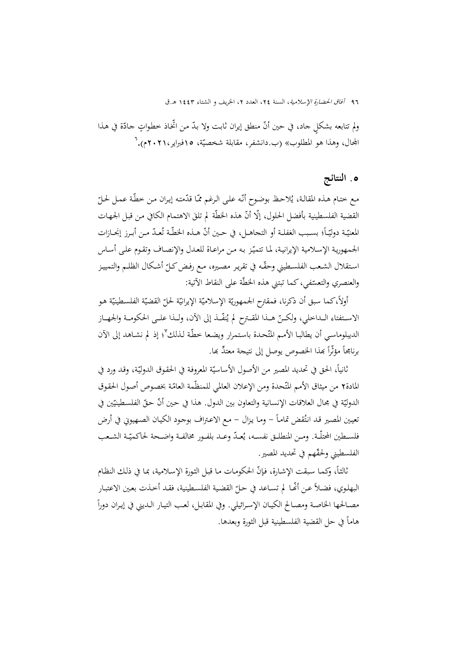ولم تتابعه بشكلٍ جاد، في حين أنّ منطق إيران ثابت ولا بدّ من اتِّخاذ خطواتٍ جادّة في هذا المجال، وهذا هو المطلوب» (ب.دانشفر، مقابلة شخصيّة، ١٥فبراير،٢٠٢١م). ت

## **.**5 **النتائج**

مع ختـام هـذه المقالـة، يُلاحظ بوضـوح أنّـه علـى الـرغم ممّـا قدّمته إيـران مـن خطّـة عمـل لحـلّ القضية الفلسطينية بأفضل الحلول، إلّا أنّ هذه الخطّة لم تلقَ الاهتمام الكافي من قبل الجمهات المعنيّـة دوليّــاً؛ بسـبب الغفلــة أو التحاهــل، في حـين أنّ هــذه الخطّــة تُعــدّ مـن أبـرز إنجــازات الجمهورية الإسلامية الإيرانية، لما تتميّز به من مراعـاة للعـدل والإنصـاف وتقـوم علـى أسـاس استقلال الشعب الفلسطيني وحقّـه في تقرير مصيره، مـع رفـض كـلّ أشـكال الظلـم والتمييـز والعنصري والتعسّفي، كما تبتني هذه الخطّة على النقاط الآتية:<br>.

أولاً، كما سبق أن ذكرنا، فمقترح الجمهوريّة الإسلاميّة الإيرانيّة لحلّ القضيّة الفلسطينيّة هو الاسـتفتاء الــداخلي، ولكــنّ هــذا المقــترح لم يُنفّــذ إلى الآن، ولــذا علــى الحكومــة والجهــاز الديبلوماسي أن يطالبا الأمم المتّحدة باستمرار ويضعا خطّة لذلك<sup>٧</sup>؛ إذ لم نشـاهد إلى الآن برنامجاً مؤثّراً بمذا الخصوص يوصل إلى نتيجة معتدٍّ بما.

نانياً، الحق في تحديد المصير من الأصول الأساسيّة المعروفة في الحقوق الدوليّة، وقد ورد في المادة٢ من ميثاق الأمم المتّحدة ومن الإعلان العالمي للمنظّمة العامّة بخصوص أصول الحقوق الدوليّة في مجال العلاقات الإنسانية والتعاون بين الدول. هذا في حين أنّ حقّ الفلسطينيّين في  $\overline{a}$ تعيين المصير قـد انتُقض تمامـاً – ومـا يـزال – مـع الاعـتراف بوجـود الكيـان الصـهيوني في أرض فلسـطين المحتلّــة. ومــن المنطلــق نفســه، يُعــدّ وعــد بلفـور مخالفــة واضــحة لحاكميّــة الشـعب الفلسطيني ولحقّهم في تحديد المصير.

ثالثـاً، وكمـا سبقت الإشـارة، فـإنّ الحكومـات مـا قبـل الثـورة الإسـلامية، بمـا في ذلـك النظـام البهلوي، فضـلاً عـن أنَّحـا لم تسـاعد في حـلّ القضية الفلسـطينية، فقـد أخـذت بعـين الاعتبـار  $\frac{1}{2}$ مصــالحها الخاصـة ومصـالح الكيـان الإسـرائيلي. وفي المقابـل، لعـب التيـار الـديني في إيـران دوراً هاماً في حل القضية الفلسطينية قبل الثورة وبعدها.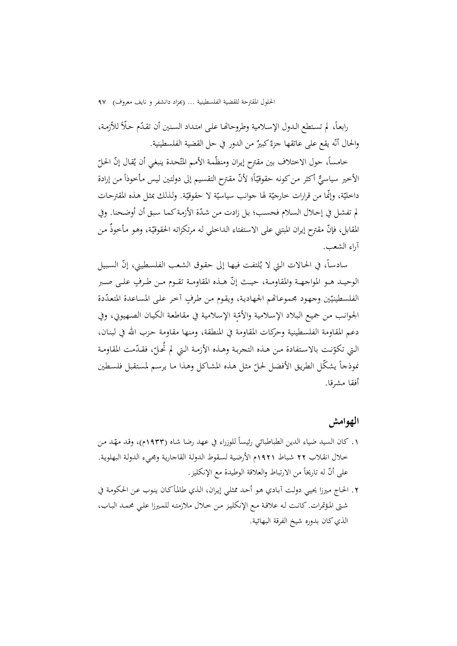رابعاً، لم تستطع الدول الإسلامية وطروحاتها على امتداد السنين أن تقدّم حلًّا للأزمة، والحال أنّه يقع على عاتقها جزءٌ كبيرٌ من الدور في حل القضية الفلسطينية.<br>-

خامساً، حول الاختلاف بين مقترح إيران ومنظّمة الأمم المتّحدة ينبغي أن يُقال إنّ الحلّ ي الأخير سياسيٌّ أكثر من كونه حقوقيّاً؛ لأنّ مقترح التقسيم إلى دولتين ليس مأخوذاً من إرادة<br>' داخليّة، وإنّما من قرارات خارجيّة لها جوانب سياسيّة لا حقوقيّة. ولـذلك بمثل هـذه المقترحـات<br>-لم تفشل في إحلال السلام فحسب؛ بل زادت من شدّة الأزمة كما سبق أن أوضحنا. وفي المقابل، فإنّ مقترح إيران المبتني على الاستفتاء الـداخلي لـه مرتكزاتـه الحقوقيّة، وهـو مأخوذَ مـن آراء الشعب.

سادساً، في الحالات التي لا يُلتفت فيهـا إلى حقوق الشعب الفلسطيني، إنّ السبيل الوحيـد هـو المواجهـة والمقاومـة، حيـث إنّ هـذه المقاومـة تقـوم مـن طـرفٍ علـى صـبر الفلسطينيّين وجهود مجموعـاتهم الجهادية، ويقوم من طرفٍ آخر على المساعدة المتعدّدة الجوانـب مـن جميـع الـبلاد الإسـلامية والأمّـة الإسـلامية في مقاطعـة الكيـان الصـهيوني، وفي دعم المقاومة الفلسطينية وحركات المقاومة في المنطقة، ومنها مقاومة حـزب االله في لبنـان، التي تكوّنت بالاستفادة من هـذه التجربـة وهـذه الأزمـة التي لم تحـلّ، فقـدّمت المقاومـة<br>. نموذجاً يشكّل الطريق الأفضل لحلّ مثل هذه المشاكل وهذا ما يرسم لمستقبل فلسطين أفقا مشرقا.

### **الهوامش**

- ١. كان السيد ضياء الدين الطباطبائي رئيساً للوزراء في عهد رضا شاه (١٩٣٣م)، وقد مهّد من خـلال انقـلاب 22 شـباط 1921م الأرضـية لسـقوط الدولـة القاجاريـة ومجـيء الدولـة البهلويـة. على أنّ له تاريخاً من الارتباط والعلاقة الوطيدة مع الإنكليز.
- ٢. الحاج ميرزا يحيي دولت آبـادي هـو أحـد ممثلي إيـران، الـذي طالمأكـان ينـوب عـن الحكومـة في شـتى المـؤتمرات. كانـت لـه علاقـة مـع الإنكليـز مـن خـلال ملازمتـه للمـيرزا علـي محمـد البـاب، الذي كان بدوره شيخ الفرقة البهائية.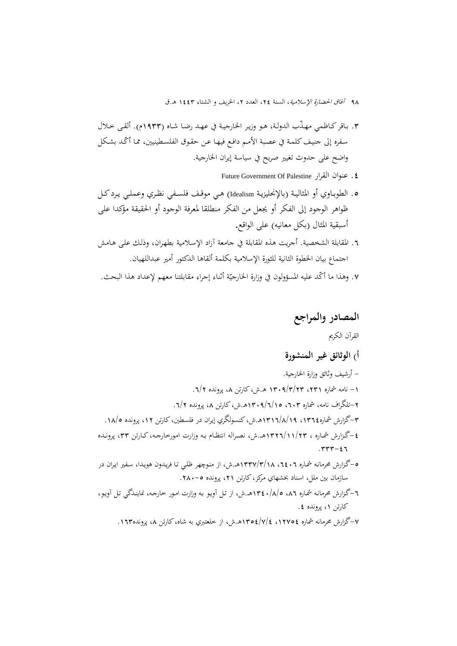- .3 بـاقركـاظمي ّ مهـذب الدولـة، هـو وزيـر الخارجيـة في عهـد رضـا شـاه (1933م). ألقـى خـلال سفره إلى جنيف كلمـة في عصبة الأمـم دافـع فيهـا عـن حقـوق الفلسـطينيين، ممـا أكّـد بشـكل واضح على حدوث تغيير صريح في سياسة إيران الخارجية.
	- Future Government Of Palestine القرار عنوان .4
- .5 الطوبـاوي أو المثاليـة (بالإنجليزيـة Idealism (هـي موقــف فلسـفي نظـري وعملــي يـردكــل ظواهر الوجود إلى الفكر أو يجعل من الفكر منطلقا لمعرفة الوجود أو الحقيقة مؤكدا على أسبقية المثال (بكل معانيه) على الواقع.
- .6 المقابلة الشخصية. أجريت هذه المقابلة في جامعة آزاد الإسـلامية بطهـران، وذلـك علـى هـامش اجتماع بيان الخطوة الثانية للثورة الإسلامية بكلمة ألقاها الدكتور أمير عبداللهيان.
- ٧. وهذا ما أكّد عليه المسؤولون في وزارة الخارجيّة أثناء إجراء مقابلتنا معهم لإعداد هذا البحث.

### **المصادر والمراجع**

### القرآن الکريم

### **أ) الوثائق غير المنشورة**

- أرشيف وثائق وزارة الخارجية. -1 نامه شماره ،231 1309/3/23 هـ.ش،كارتن ،8 پرونده .6/2 -2تلگراف نامه، شماره ،603 1309/6/15هـ.ش،كارتن ،8 پرونده .6/2
- -3گزارش شماره،1364 1316/8/19هـ.ش،کنسولگري إيران در فلسطين،كارتن ،12 پرونده .18/5
- -4 گـزارش شمـاره ، 1326/11/23هــ.ش، نصـراله انتظـام بـه وزارت امورخارجـه،كـارتن ،33 پرونـده  $.777 - 27$
- -5گـزارش محرمانـه شمـاره ،6406 1337/3/18هـ.ش، از منـوچهر ظلـي تـا فريـدون هويـدا، سـفير ايـران در سازمان بين ملل، اسناد بخشهاي مركز، كارتن ۲۱، پرونده ۰-۲۸۰.
- -6گـزارش محرمانـه شمـاره ،86 1340/8/5هــ.ش، از تـل آويـو بـه وزارت امـور خارجـه، نماينـدگي تـل آويـو، كارتن ۰۱ پرونده ٤.
	- -7گزارش محرمانه شماره ،12754 1354/7/4هـ.ش، از خلعتبري به شاه،كارتن ،8 پرونده.163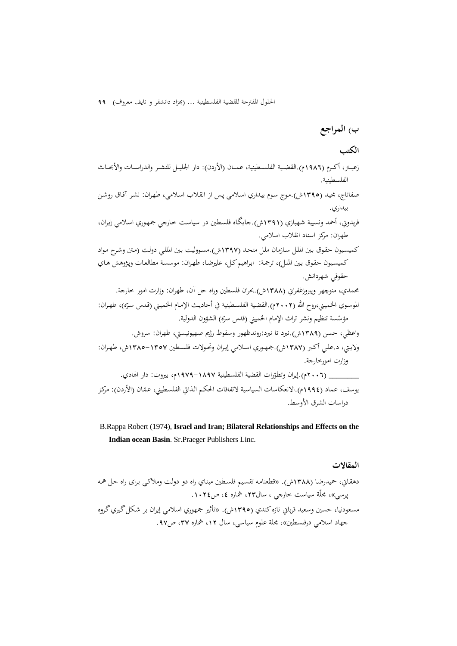**ب) المراجع**

### **الكتب**

- زعيــتر، أكــرم (1986م).القضــية الفلســطينية، عمــان (الأردن): دار الجليــل للنشــر والدراســات والأبحــاث الفلسطينية.
- صفاتاج، مجيـد (1395ش).مـوج سـوم بيـداري اسـلامي پـس از انقـلاب اسـلامي، طهـران: نشـر آفـاق روشـن بيداري.
- فريدوني، أحمد ونسيبة شـهبازي (1391ش).جايگـاه فلسـطين در سياسـت خـارجي جمهـوري اسـلامي إيـران، طهران: مرکز اسناد انقلاب اسلامي.

کميسـيون حقـوق بـين الملـل سـازمان ملـل متحـد (1397ش).مسـووليت بـين المللـي دولـت (مـتن وشـرح مـواد کميسـيون حقـوق بـين الملـل)، ترجمـة: ابـراهيمکـل، عليرضـا، طهـران: موسسـة مطالعـات وپـژوهش هـاي حقوقي شهردانش.

- محمدي، منوچهر وپيروزغفراني (1388ش).بحران فلسطين وراه حل آن، طهران: وزارت امور خارجة. الموسـوي الخميـني،روح الله (٢٠٠٢م).القضية الفلسـطينية في أحاديث الإمـام الخميـني (قـدس سـرّه)، طهـران: مؤسّسة تنظيم ونشر تراث الإمام الخميني (قدس سرّه) الشؤون الدولية.<br>.
- واعظي، حسن (1389ش).نبرد تا نبرد:روندظهور وسقوط رژيم صهيونيستي، طهران: سروش. ولايــتي، د.علــي أكــبر (1387ش).جمهــوري اســلامي إيــران وتحــولات فلســطين 1385-1357ش، طهــران: وزارت امورخارجة.

إيران وتطو 1979-1897م، بيروت: دار الهادي. ّ **\_\_\_\_\_\_\_\_** (2006م). رات القضية الفلسطينية يوسف، عماد (١٩٩٤م).الانعكاسات السياسية لاتفاقات الحكـم الذاتي الفلسـطيني، عـمّـان (الأردن): مركز دراسات الشرق الأوسط.

 B.Rappa Robert (1974), **Israel and Iran; Bilateral Relationships and Effects on the Indian ocean Basin**. Sr.Praeger Publishers Linc.

#### **المقالات**

دهقـاني، حميدرضـا (1388ش). «قطعنامـه تقسـيم فلسـطين مبنـاي راه دو دولـت وملاکـي بـرای راه حـل همـه پرسي»، مجلّة سياست خارجي ، سال**،**23 شماره ،4 ص.1024 مسعودنيا، حسين وسعيد قرباني تازه کندي (١٣٩٥ش). «تأثير جمهوري اسلامي إيران بر شكل گيري گروه جهاد اسلامي درفلسطين»**،** مجلة علوم سياسي**،** سال ،12 شماره ،37 ص.97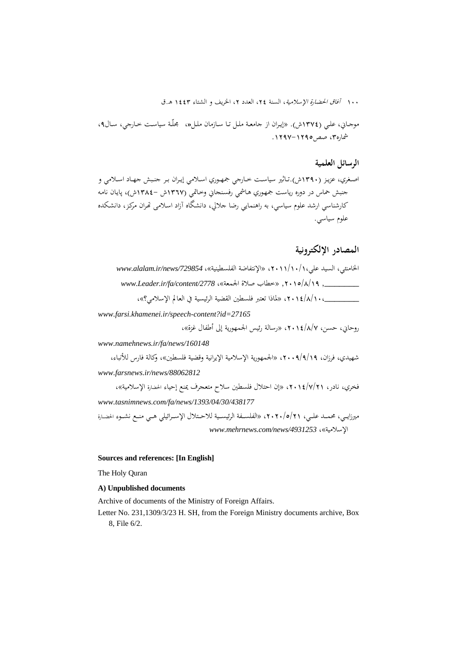موجــاني، علــي (1374ش). «إيــران از جامعــة ملــل تــا ســازمان ملــل**«**، مجلّــة سياســت خــارجي، ســال،9 شماره،3 صص.1297-1295

#### **الرسائل العلمية**

اصــغري، عزيــز (1390ش).تــاثير سياســت خــارجي جمهــوري اســلامي إيــران بــر جنــبش جهــاد اســلامي و جنبش حماس در دوره رياست جمهـوري هـاشمي رفسـنجاني وخـاتمي (1367ش 1384-ش)، پايـان نامـه کارشناسي ارشد علوم سياسي، به راهنمايي رضا جلالي، دانشگاه آزاد اسـلامی ēـران مرکـز، دانشـکده علوم سياسي.

### **المصادر الإلكترونية**

| الخامنئي، السيد علي،١١/١٠/١٠/١٧، «الإنتفاضة الفلسطينية»، www.alalam.ir/news/729854 |
|------------------------------------------------------------------------------------|
| _, ٢٠١٥/٨/١٩, «خطاب صلاة الجمعة»، www.Leader.ir/fa/content/2778                    |
| _، ٢ / / / ٢٠١٤ ، «لماذا تعتبر فلسطين القضية الرئيسية في العالم الإسلامي؟»،        |

*www.farsi.khamenei.ir/speech-content?id=27165* 

روحاني، حسن، ،2014/8/7 «رسالة رئيس الجمهورية إلى أطفال غزة»،

*www.namehnews.ir/fa/news/160148* 

شهيدي، فرزان، ،2009/9/19 «الجمهورية الإسلامية الإيرانية وقضية فلسطين»، وكالة فارس للأنباء، *www.farsnews.ir/news/88062812*

فخري، نادر، ،2014/7/21 «إن احتلال فلسطين سلاح متعجرف يمنع إحياء الحضارة الإسلامية»، *www.tasnimnews.com/fa/news/1393/04/30/438177* 

ميرزايـــي، محمـــد علـــي، ،2020/5/21 «الفلســـفة الرئيســـية للاحـــتلال الإســـرائيلي هـــي منـــع نشـــوء الحضـــارة *www.mehrnews.com/news/4931253* ،«الإسلامية

#### **Sources and references: [In English]**

The Holy Quran

#### **A) Unpublished documents**

Archive of documents of the Ministry of Foreign Affairs.

Letter No. 231,1309/3/23 H. SH, from the Foreign Ministry documents archive, Box 8, File 6/2.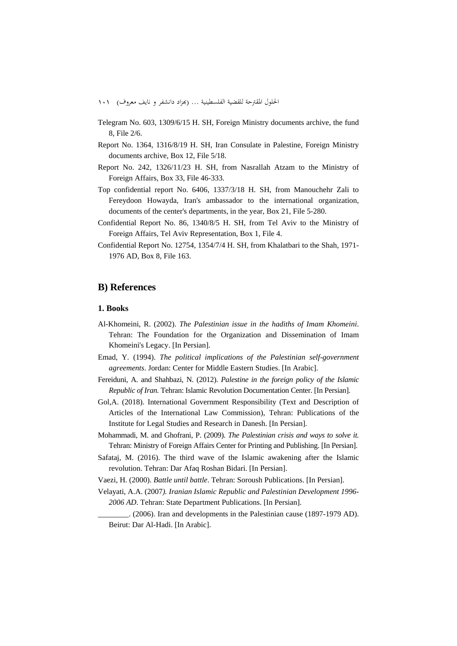- Telegram No. 603, 1309/6/15 H. SH, Foreign Ministry documents archive, the fund 8, File 2/6.
- Report No. 1364, 1316/8/19 H. SH, Iran Consulate in Palestine, Foreign Ministry documents archive, Box 12, File 5/18.
- Report No. 242, 1326/11/23 H. SH, from Nasrallah Atzam to the Ministry of Foreign Affairs, Box 33, File 46-333.
- Top confidential report No. 6406, 1337/3/18 H. SH, from Manouchehr Zali to Fereydoon Howayda, Iran's ambassador to the international organization, documents of the center's departments, in the year, Box 21, File 5-280.
- Confidential Report No. 86, 1340/8/5 H. SH, from Tel Aviv to the Ministry of Foreign Affairs, Tel Aviv Representation, Box 1, File 4.
- Confidential Report No. 12754, 1354/7/4 H. SH, from Khalatbari to the Shah, 1971- 1976 AD, Box 8, File 163.

#### **B) References**

#### **1. Books**

- Al-Khomeini, R. (2002). *The Palestinian issue in the hadiths of Imam Khomeini*. Tehran: The Foundation for the Organization and Dissemination of Imam Khomeini's Legacy. [In Persian].
- Emad, Y. (1994). *The political implications of the Palestinian self-government agreements*. Jordan: Center for Middle Eastern Studies. [In Arabic].
- Fereiduni, A. and Shahbazi, N. (2012). *Palestine in the foreign policy of the Islamic Republic of Iran.* Tehran: Islamic Revolution Documentation Center. [In Persian].
- Gol,A. (2018). International Government Responsibility (Text and Description of Articles of the International Law Commission), Tehran: Publications of the Institute for Legal Studies and Research in Danesh. [In Persian].
- Mohammadi, M. and Ghofrani, P. (2009). *The Palestinian crisis and ways to solve it.*  Tehran: Ministry of Foreign Affairs Center for Printing and Publishing. [In Persian].
- Safataj, M. (2016). The third wave of the Islamic awakening after the Islamic revolution. Tehran: Dar Afaq Roshan Bidari. [In Persian].
- Vaezi, H. (2000). *Battle until battle*. Tehran: Soroush Publications. [In Persian].
- Velayati, A.A. (2007*). Iranian Islamic Republic and Palestinian Development 1996- 2006 AD*. Tehran: State Department Publications. [In Persian].
	- \_\_\_\_\_\_\_\_. (2006). Iran and developments in the Palestinian cause (1897-1979 AD). Beirut: Dar Al-Hadi. [In Arabic].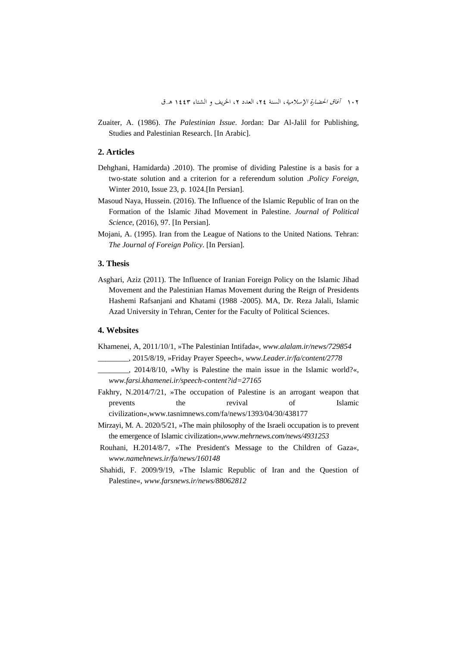Zuaiter, A. (1986). *The Palestinian Issue*. Jordan: Dar Al-Jalil for Publishing, Studies and Palestinian Research. [In Arabic].

#### **2. Articles**

- Dehghani, Hamidarda) .2010). The promise of dividing Palestine is a basis for a two-state solution and a criterion for a referendum solution .*Policy Foreign*, Winter 2010, Issue 23, p. 1024.[In Persian].
- Masoud Naya, Hussein. (2016). The Influence of the Islamic Republic of Iran on the Formation of the Islamic Jihad Movement in Palestine. *Journal of Political Science*, (2016), 97. [In Persian].
- Mojani, A. (1995). Iran from the League of Nations to the United Nations*.* Tehran: *The Journal of Foreign Policy*. [In Persian].

#### **3. Thesis**

Asghari, Aziz (2011). The Influence of Iranian Foreign Policy on the Islamic Jihad Movement and the Palestinian Hamas Movement during the Reign of Presidents Hashemi Rafsanjani and Khatami (1988 -2005). MA, Dr. Reza Jalali, Islamic Azad University in Tehran, Center for the Faculty of Political Sciences.

#### **4. Websites**

Khamenei, A, 2011/10/1, »The Palestinian Intifada«*, www.alalam.ir/news/729854*

- \_\_\_\_\_\_\_\_, 2015/8/19, »Friday Prayer Speech«, *www.Leader.ir/fa/content/2778*
- \_\_\_\_\_\_\_\_, 2014/8/10, »Why is Palestine the main issue in the Islamic world?«, *www.farsi.khamenei.ir/speech-content?id=27165*
- Fakhry, N.2014/7/21, »The occupation of Palestine is an arrogant weapon that prevents the revival of Islamic civilization«,www.tasnimnews.com/fa/news/1393/04/30/438177
- Mirzayi, M. A. 2020/5/21, »The main philosophy of the Israeli occupation is to prevent the emergence of Islamic civilization«,*www.mehrnews.com/news/4931253*
- Rouhani, H.2014/8/7, »The President's Message to the Children of Gaza«, *www.namehnews.ir/fa/news/160148*
- Shahidi, F. 2009/9/19, »The Islamic Republic of Iran and the Question of Palestine«, *www.farsnews.ir/news/88062812*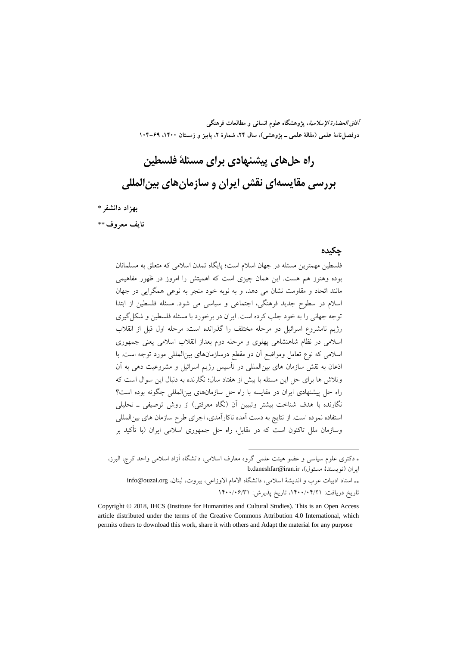**آفاق الحضارة الإسلامية، پژوهشگاه علوم انساني و مطالعات فرهنگي**  دوفصل نامهٔ علمی (مقالهٔ علمی ــ یژوهشی)، سال ۲۴، شمارهٔ ۲، پاییز و زمستان ۱۴۰۰، ۶۹–۱۰۴

# **راه حلهاي پيشنهادي براي مسئلة فلسطين بررسي مقايسهاي نقش ايران و سازمانهاي بينالمللي**

**بهزاد دانشفر**\*\*\*

**نايف معروف**††\*\*

#### **چكيده**

فلسطين مهمترين مسئله در جهان اسلام است؛ پايگاه تمدن اسلامي كه متعلق به مسلمانان بوده وهنوز هم هست. اين همان چيزي است كه اهميتش را امروز در ظهور مفاهيمي مانند اتحاد و مقاومت نشان مي دهد، و به نوبه خود منجر به نوعي همگرايي در جهان اسلام در سطوح جديد فرهنگي، اجتماعي و سياسي مي شود. مسئله فلسطين از ابتدا توجه جهاني را به خود جلب كرده است. ايران در برخورد با مسئله فلسطين و شكلگيري رژيم نامشروع اسرائيل دو مرحله مختلف را گذرانده است: مرحله اول قبل از انقلاب اسلامي در نظام شاهنشاهي پهلوي و مرحله دوم بعداز انقلاب اسلامي يعني جمهوري اسلامي كه نوع تعامل ومواضع آن دو مقطع درسازمانهاي بينالمللي مورد توجه است. با اذعان به نقش سازمان هاي بينالمللي در تأسيس رژيم اسرائيل و مشروعيت دهي به آن وتلاش ها براي حل اين مسئله با بيش از هفتاد سال؛ نگارنده به دنبال اين سوال است كه راه حل پيشنهادي ايران در مقايسه با راه حل سازمانهاي بينالمللي چگونه بوده است؟ نگارنده با هدف شناخت بيشتر وتبيين آن (نگاه معرفتي) از روش توصيفي ـ تحليلي استفاده نموده است. از نتايج به دست آمده ناكارآمدي، اجراي طرح سازمان هاي بينالمللي وسازمان ملل تاكنون است كه در مقابل، راه حل جمهوري اسلامي ايران (با تأكيد بر

 دكتري علوم سياسي و عضو هيئت علمي گروه معارف اسلامي، دانشگاه آزاد اسلامي واحد كرج، البرز، b.daneshfar@iran.ir ،(مسئول نويسندة (ايران استاد ادبيات عرب و انديشة اسلامي، دانشگاه الامام الاوزاعي، بيروت، لبنان، org.ouzai@info تاريخ دريافت: ،1400/04/21 تاريخ پذيرش: 1400/06/31

.

Copyright © 2018, IHCS (Institute for Humanities and Cultural Studies). This is an Open Access article distributed under the terms of the Creative Commons Attribution 4.0 International, which permits others to download this work, share it with others and Adapt the material for any purpose